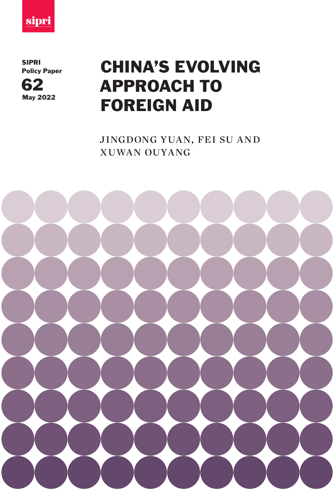

SIPRI



# SIPRI<br>Policy Paper **CHINA'S EVOLVING** APPROACH TO FOREIGN AID

jingdong yuan, fei su and xuwan ouyang

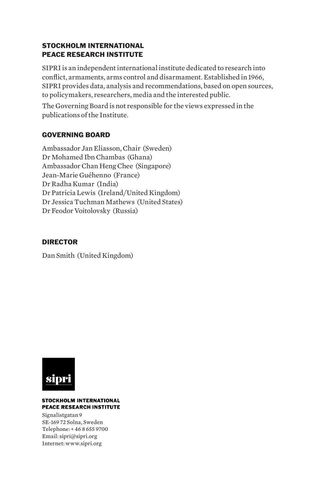### STOCKHOLM INTERNATIONAL PEACE RESEARCH INSTITUTE

SIPRI is an independent international institute dedicated to research into conflict, armaments, arms control and disarmament. Established in 1966, SIPRI provides data, analysis and recommendations, based on open sources, to policymakers, researchers, media and the interested public.

The Governing Board is not responsible for the views expressed in the publications of the Institute.

### GOVERNING BOARD

Ambassador Jan Eliasson, Chair (Sweden) Dr Mohamed Ibn Chambas (Ghana) Ambassador Chan Heng Chee (Singapore) Jean-Marie Guéhenno (France) Dr Radha Kumar (India) Dr Patricia Lewis (Ireland/United Kingdom) Dr Jessica Tuchman Mathews (United States) Dr Feodor Voitolovsky (Russia)

### DIRECTOR

Dan Smith (United Kingdom)



### **STOCKHOLM INTERNATIONAL PEACE RESEARCH INSTITUTE**

Signalistgatan 9 SE-169 72 Solna, Sweden Telephone: + 46 8 655 9700 Email: sipri@sipri.org Internet: www.sipri.org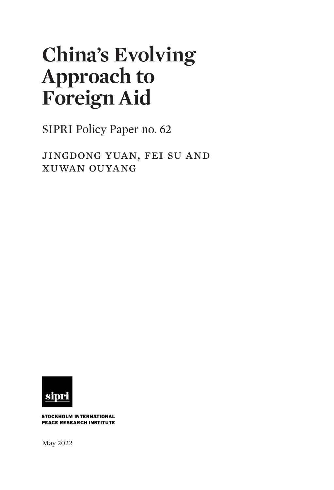# **China's Evolving Approach to Foreign Aid**

SIPRI Policy Paper no. 62

jingdong yuan, fei su and xuwan ouyang



STOCKHOLM INTERNATIONAL **PEACE RESEARCH INSTITUTE** 

May 2022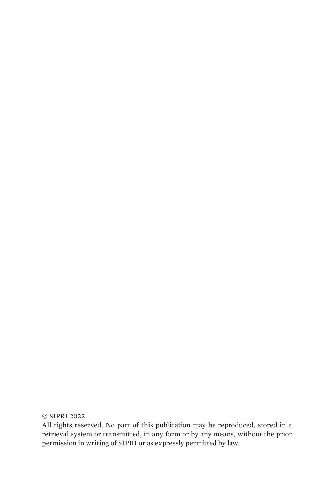### © SIPRI 2022

All rights reserved. No part of this publication may be reproduced, stored in a retrieval system or transmitted, in any form or by any means, without the prior permission in writing of SIPRI or as expressly permitted by law.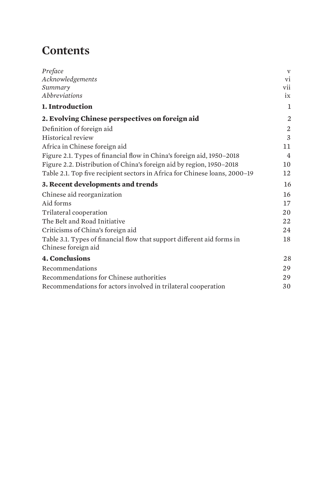# **Contents**

| Preface<br>Acknowledgements<br>Summary<br><i>Abbreviations</i>                                | $\mathbf{V}$<br>vi<br>vii<br>ix |
|-----------------------------------------------------------------------------------------------|---------------------------------|
| 1. Introduction                                                                               | 1                               |
| 2. Evolving Chinese perspectives on foreign aid                                               | $\overline{2}$                  |
| Definition of foreign aid                                                                     | 2                               |
| Historical review                                                                             | 3                               |
| Africa in Chinese foreign aid                                                                 | 11                              |
| Figure 2.1. Types of financial flow in China's foreign aid, 1950-2018                         | 4                               |
| Figure 2.2. Distribution of China's foreign aid by region, 1950-2018                          | 10                              |
| Table 2.1. Top five recipient sectors in Africa for Chinese loans, 2000-19                    | 12                              |
| 3. Recent developments and trends                                                             | 16                              |
| Chinese aid reorganization                                                                    | 16                              |
| Aid forms                                                                                     | 17                              |
| Trilateral cooperation                                                                        | 20                              |
| The Belt and Road Initiative                                                                  | 22                              |
| Criticisms of China's foreign aid                                                             | 24                              |
| Table 3.1. Types of financial flow that support different aid forms in<br>Chinese foreign aid | 18                              |
| <b>4. Conclusions</b>                                                                         | 28                              |
| Recommendations                                                                               | 29                              |
| Recommendations for Chinese authorities                                                       | 29                              |
| Recommendations for actors involved in trilateral cooperation                                 | 30                              |
|                                                                                               |                                 |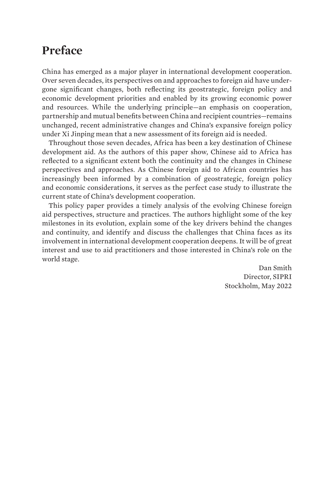# <span id="page-6-0"></span>**Preface**

China has emerged as a major player in international development cooperation. Over seven decades, its perspectives on and approaches to foreign aid have undergone significant changes, both reflecting its geostrategic, foreign policy and economic development priorities and enabled by its growing economic power and resources. While the underlying principle—an emphasis on cooperation, partnership and mutual benefits between China and recipient countries—remains unchanged, recent administrative changes and China's expansive foreign policy under Xi Jinping mean that a new assessment of its foreign aid is needed.

Throughout those seven decades, Africa has been a key destination of Chinese development aid. As the authors of this paper show, Chinese aid to Africa has reflected to a significant extent both the continuity and the changes in Chinese perspectives and approaches. As Chinese foreign aid to African countries has increasingly been informed by a combination of geostrategic, foreign policy and economic considerations, it serves as the perfect case study to illustrate the current state of China's development cooperation.

This policy paper provides a timely analysis of the evolving Chinese foreign aid perspectives, structure and practices. The authors highlight some of the key milestones in its evolution, explain some of the key drivers behind the changes and continuity, and identify and discuss the challenges that China faces as its involvement in international development cooperation deepens. It will be of great interest and use to aid practitioners and those interested in China's role on the world stage.

> Dan Smith Director, SIPRI Stockholm, May 2022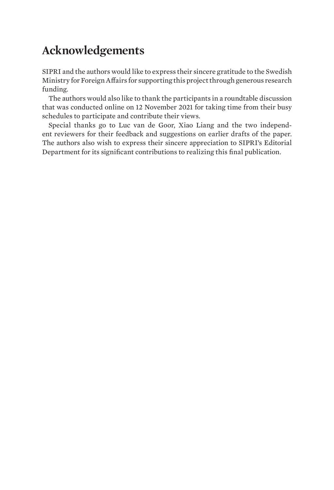# <span id="page-7-0"></span>**Acknowledgements**

SIPRI and the authors would like to express their sincere gratitude to the Swedish Ministry for Foreign Affairs for supporting this project through generous research funding.

The authors would also like to thank the participants in a roundtable discussion that was conducted online on 12 November 2021 for taking time from their busy schedules to participate and contribute their views.

Special thanks go to Luc van de Goor, Xiao Liang and the two independent reviewers for their feedback and suggestions on earlier drafts of the paper. The authors also wish to express their sincere appreciation to SIPRI's Editorial Department for its significant contributions to realizing this final publication.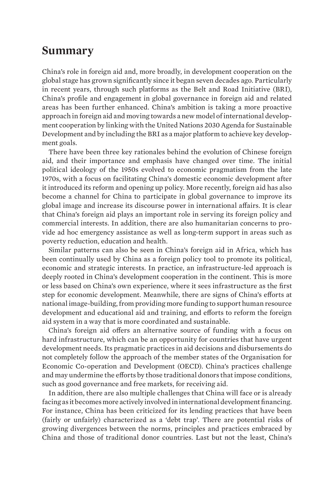### <span id="page-8-0"></span>**Summary**

China's role in foreign aid and, more broadly, in development cooperation on the global stage has grown significantly since it began seven decades ago. Particularly in recent years, through such platforms as the Belt and Road Initiative (BRI), China's profile and engagement in global governance in foreign aid and related areas has been further enhanced. China's ambition is taking a more proactive approach in foreign aid and moving towards a new model of international development cooperation by linking with the United Nations 2030 Agenda for Sustainable Development and by including the BRI as a major platform to achieve key development goals.

There have been three key rationales behind the evolution of Chinese foreign aid, and their importance and emphasis have changed over time. The initial political ideology of the 1950s evolved to economic pragmatism from the late 1970s, with a focus on facilitating China's domestic economic development after it introduced its reform and opening up policy. More recently, foreign aid has also become a channel for China to participate in global governance to improve its global image and increase its discourse power in international affairs. It is clear that China's foreign aid plays an important role in serving its foreign policy and commercial interests. In addition, there are also humanitarian concerns to provide ad hoc emergency assistance as well as long-term support in areas such as poverty reduction, education and health.

Similar patterns can also be seen in China's foreign aid in Africa, which has been continually used by China as a foreign policy tool to promote its political, economic and strategic interests. In practice, an infrastructure-led approach is deeply rooted in China's development cooperation in the continent. This is more or less based on China's own experience, where it sees infrastructure as the first step for economic development. Meanwhile, there are signs of China's efforts at national image-building, from providing more funding to support human resource development and educational aid and training, and efforts to reform the foreign aid system in a way that is more coordinated and sustainable.

China's foreign aid offers an alternative source of funding with a focus on hard infrastructure, which can be an opportunity for countries that have urgent development needs. Its pragmatic practices in aid decisions and disbursements do not completely follow the approach of the member states of the Organisation for Economic Co-operation and Development (OECD). China's practices challenge and may undermine the efforts by those traditional donors that impose conditions, such as good governance and free markets, for receiving aid.

In addition, there are also multiple challenges that China will face or is already facing as it becomes more actively involved in international development financing. For instance, China has been criticized for its lending practices that have been (fairly or unfairly) characterized as a 'debt trap'. There are potential risks of growing divergences between the norms, principles and practices embraced by China and those of traditional donor countries. Last but not the least, China's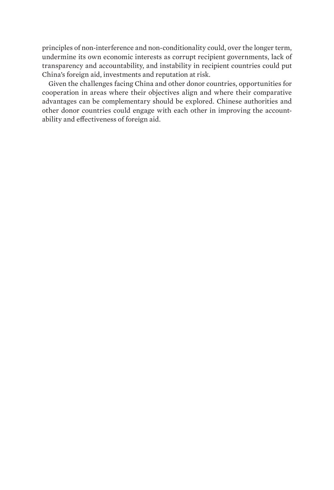principles of non-interference and non-conditionality could, over the longer term, undermine its own economic interests as corrupt recipient governments, lack of transparency and accountability, and instability in recipient countries could put China's foreign aid, investments and reputation at risk.

Given the challenges facing China and other donor countries, opportunities for cooperation in areas where their objectives align and where their comparative advantages can be complementary should be explored. Chinese authorities and other donor countries could engage with each other in improving the accountability and effectiveness of foreign aid.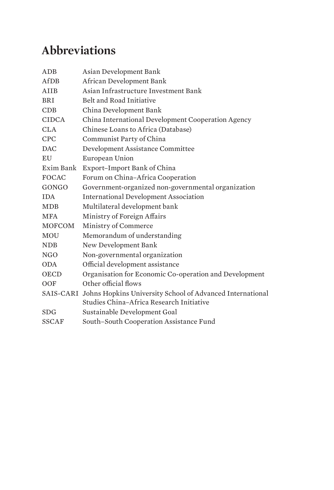# <span id="page-10-0"></span>**Abbreviations**

| ADB           | Asian Development Bank                                              |
|---------------|---------------------------------------------------------------------|
| AfDB          | African Development Bank                                            |
| AIIB          | Asian Infrastructure Investment Bank                                |
| <b>BRI</b>    | Belt and Road Initiative                                            |
| CDB           | China Development Bank                                              |
| <b>CIDCA</b>  | China International Development Cooperation Agency                  |
| <b>CLA</b>    | Chinese Loans to Africa (Database)                                  |
| <b>CPC</b>    | Communist Party of China                                            |
| <b>DAC</b>    | Development Assistance Committee                                    |
| EU            | European Union                                                      |
| Exim Bank     | Export-Import Bank of China                                         |
| <b>FOCAC</b>  | Forum on China-Africa Cooperation                                   |
| GONGO         | Government-organized non-governmental organization                  |
| <b>IDA</b>    | <b>International Development Association</b>                        |
| <b>MDB</b>    | Multilateral development bank                                       |
| <b>MFA</b>    | Ministry of Foreign Affairs                                         |
| <b>MOFCOM</b> | Ministry of Commerce                                                |
| MOU           | Memorandum of understanding                                         |
| <b>NDB</b>    | New Development Bank                                                |
| NGO           | Non-governmental organization                                       |
| <b>ODA</b>    | Official development assistance                                     |
| <b>OECD</b>   | Organisation for Economic Co-operation and Development              |
| OOF           | Other official flows                                                |
|               | SAIS-CARI Johns Hopkins University School of Advanced International |
|               | Studies China-Africa Research Initiative                            |
| <b>SDG</b>    | Sustainable Development Goal                                        |
| <b>SSCAF</b>  | South-South Cooperation Assistance Fund                             |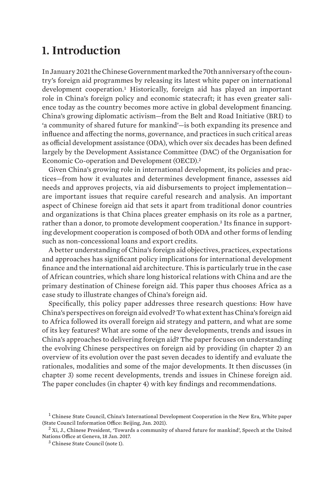## <span id="page-12-0"></span>**1. Introduction**

In January 2021 the Chinese Government marked the 70th anniversary of the country's foreign aid programmes by releasing its latest white paper on international development cooperation.<sup>1</sup> Historically, foreign aid has played an important role in China's foreign policy and economic statecraft; it has even greater salience today as the country becomes more active in global development financing. China's growing diplomatic activism—from the Belt and Road Initiative (BRI) to 'a community of shared future for mankind'—is both expanding its presence and influence and affecting the norms, governance, and practices in such critical areas as official development assistance (ODA), which over six decades has been defined largely by the Development Assistance Committee (DAC) of the Organisation for Economic Co-operation and Development (OECD).<sup>2</sup>

Given China's growing role in international development, its policies and practices—from how it evaluates and determines development finance, assesses aid needs and approves projects, via aid disbursements to project implementation are important issues that require careful research and analysis. An important aspect of Chinese foreign aid that sets it apart from traditional donor countries and organizations is that China places greater emphasis on its role as a partner, rather than a donor, to promote development cooperation.<sup>3</sup> Its finance in supporting development cooperation is composed of both ODA and other forms of lending such as non-concessional loans and export credits.

A better understanding of China's foreign aid objectives, practices, expectations and approaches has significant policy implications for international development finance and the international aid architecture. This is particularly true in the case of African countries, which share long historical relations with China and are the primary destination of Chinese foreign aid. This paper thus chooses Africa as a case study to illustrate changes of China's foreign aid.

Specifically, this policy paper addresses three research questions: How have China's perspectives on foreign aid evolved? To what extent has China's foreign aid to Africa followed its overall foreign aid strategy and pattern, and what are some of its key features? What are some of the new developments, trends and issues in China's approaches to delivering foreign aid? The paper focuses on understanding the evolving Chinese perspectives on foreign aid by providing (in chapter 2) an overview of its evolution over the past seven decades to identify and evaluate the rationales, modalities and some of the major developments. It then discusses (in chapter 3) some recent developments, trends and issues in Chinese foreign aid. The paper concludes (in chapter 4) with key findings and recommendations.

 $<sup>1</sup>$  Chinese State Council, [China's International Development Cooperation in the New Era](http://english.www.gov.cn/atts/stream/files/5ffa69cac6d0cc300eea77af), White paper</sup> (State Council Information Office: Beijing, Jan. 2021).

 $^2$  Xi, J., Chinese President, 'Towards a community of shared future for mankind'. Speech at the United [Nations Office at Geneva](http://en.qstheory.cn/2021-12/03/c_686693.htm), 18 Jan. 2017.

<sup>3</sup> Chinese State Council (note 1).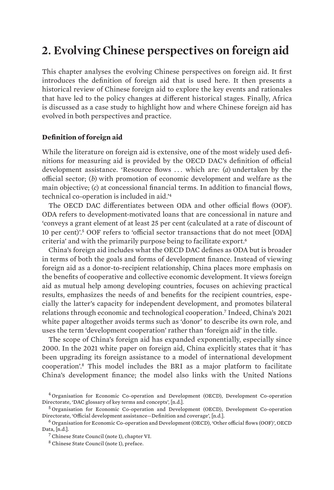# <span id="page-13-0"></span>**2. Evolving Chinese perspectives on foreign aid**

This chapter analyses the evolving Chinese perspectives on foreign aid. It first introduces the definition of foreign aid that is used here. It then presents a historical review of Chinese foreign aid to explore the key events and rationales that have led to the policy changes at different historical stages. Finally, Africa is discussed as a case study to highlight how and where Chinese foreign aid has evolved in both perspectives and practice.

### **Definition of foreign aid**

While the literature on foreign aid is extensive, one of the most widely used definitions for measuring aid is provided by the OECD DAC's definition of official development assistance. 'Resource flows . . . which are: (*a*) undertaken by the official sector; (*b*) with promotion of economic development and welfare as the main objective; (*c*) at concessional financial terms. In addition to financial flows, technical co-operation is included in aid.'<sup>4</sup>

The OECD DAC differentiates between ODA and other official flows (OOF). ODA refers to development-motivated loans that are concessional in nature and 'conveys a grant element of at least 25 per cent (calculated at a rate of discount of 10 per cent)'.5 OOF refers to 'official sector transactions that do not meet [ODA] criteria' and with the primarily purpose being to facilitate export.<sup>6</sup>

China's foreign aid includes what the OECD DAC defines as ODA but is broader in terms of both the goals and forms of development finance. Instead of viewing foreign aid as a donor-to-recipient relationship, China places more emphasis on the benefits of cooperative and collective economic development. It views foreign aid as mutual help among developing countries, focuses on achieving practical results, emphasizes the needs of and benefits for the recipient countries, especially the latter's capacity for independent development, and promotes bilateral relations through economic and technological cooperation.7 Indeed, China's 2021 white paper altogether avoids terms such as 'donor' to describe its own role, and uses the term 'development cooperation' rather than 'foreign aid' in the title.

The scope of China's foreign aid has expanded exponentially, especially since 2000. In the 2021 white paper on foreign aid, China explicitly states that it 'has been upgrading its foreign assistance to a model of international development cooperation'.8 This model includes the BRI as a major platform to facilitate China's development finance; the model also links with the United Nations

<sup>4</sup> Organisation for Economic Co-operation and Development (OECD), Development Co-operation Directorate, '[DAC glossary of key terms and concepts](https://www.oecd.org/dac/dac-glossary.htm#ODA)', [n.d.].

<sup>5</sup> Organisation for Economic Co-operation and Development (OECD), Development Co-operation Directorate, '[Official development assistance—Definition and coverage](https://www.oecd.org/dac/financing-sustainable-development/development-finance-standards/officialdevelopmentassistancedefinitionandcoverage.htm)', [n.d.].

<sup>6</sup> Organisation for Economic Co-operation and Development (OECD), '[Other official flows \(OOF\)](https://data.oecd.org/drf/other-official-flows-oof.htm)', OECD Data, [n.d.].

<sup>7</sup> Chinese State Council (note 1), chapter VI.

<sup>8</sup> Chinese State Council (note 1), preface.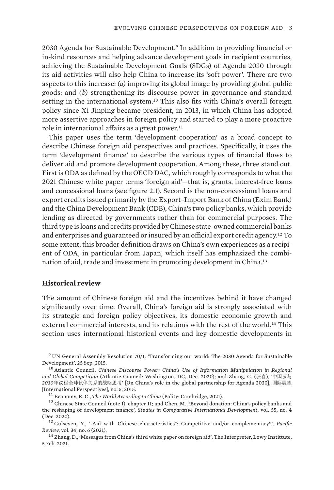<span id="page-14-0"></span>2030 Agenda for Sustainable Development.9 In addition to providing financial or in-kind resources and helping advance development goals in recipient countries, achieving the Sustainable Development Goals (SDGs) of Agenda 2030 through its aid activities will also help China to increase its 'soft power'. There are two aspects to this increase: *(a)* improving its global image by providing global public goods; and *(b)* strengthening its discourse power in governance and standard setting in the international system.<sup>10</sup> This also fits with China's overall foreign policy since Xi Jinping became president, in 2013, in which China has adopted more assertive approaches in foreign policy and started to play a more proactive role in international affairs as a great power.<sup>11</sup>

This paper uses the term 'development cooperation' as a broad concept to describe Chinese foreign aid perspectives and practices. Specifically, it uses the term 'development finance' to describe the various types of financial flows to deliver aid and promote development cooperation. Among these, three stand out. First is ODA as defined by the OECD DAC, which roughly corresponds to what the 2021 Chinese white paper terms 'foreign aid'—that is, grants, interest-free loans and concessional loans (see figure 2.1). Second is the non-concessional loans and export credits issued primarily by the Export–Import Bank of China (Exim Bank) and the China Development Bank (CDB), China's two policy banks, which provide lending as directed by governments rather than for commercial purposes. The third type is loans and credits provided by Chinese state-owned commercial banks and enterprises and guaranteed or insured by an official export credit agency.12 To some extent, this broader definition draws on China's own experiences as a recipient of ODA, in particular from Japan, which itself has emphasized the combination of aid, trade and investment in promoting development in China.<sup>13</sup>

#### **Historical review**

The amount of Chinese foreign aid and the incentives behind it have changed significantly over time. Overall, China's foreign aid is strongly associated with its strategic and foreign policy objectives, its domestic economic growth and external commercial interests, and its relations with the rest of the world.14 This section uses international historical events and key domestic developments in

<sup>9</sup> UN General Assembly Resolution 70/1, '[Transforming our world: The 2030 Agenda for Sustainable](https://undocs.org/A/RES/70/1)  [Development](https://undocs.org/A/RES/70/1)', 25 Sep. 2015.

<sup>10</sup> Atlantic Council, *[Chinese Discourse Power: China's Use of Information Manipulation in Regional](https://www.atlanticcouncil.org/wp-content/uploads/2020/12/China-Discouse-Power-FINAL.pdf)  [and Global Competition](https://www.atlanticcouncil.org/wp-content/uploads/2020/12/China-Discouse-Power-FINAL.pdf)* (Atlantic Council: Washington, DC, Dec. 2020); and Zhang, C. (张春), '中国参与 *2030*年议程全球伙伴关系的战略思考' [On China's role in the global partnership for Agenda 2030], 国际展望 [\[International Perspectives\]](https://doi.org/10.13851/j.cnki.gjzw.201505008), no. 5, 2015.

<sup>11</sup> Economy, E. C., *The World According to China* (Polity: Cambridge, 2021).

<sup>12</sup> Chinese State Council (note 1), chapter II; and Chen, M., 'Beyond donation: China's policy banks and [the reshaping of development finance](https://doi.org/10.1007/s12116-020-09310-9)', *Studies in Comparative International Development*, vol. 55, no. 4 (Dec. 2020).

<sup>13</sup> Gülseven, Y., '"[Aid with Chinese characteristics": Competitive and/or complementary?](https://doi.org/10.1080/09512748.2020.1772353)', *Pacific Review*, vol. 34, no. 6 (2021).

<sup>14</sup> Zhang, D., '[Messages from China's third white paper on foreign aid'](https://www.lowyinstitute.org/the-interpreter/messages-china-s-third-white-paper-foreign-aid), The Interpreter, Lowy Instittute, 5 Feb. 2021.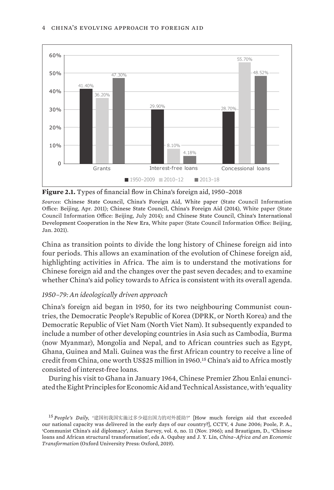<span id="page-15-0"></span>

**Figure 2.1.** Types of financial flow in China's foreign aid, 1950–2018

*Sources*: [Chinese State Council, China's Foreign Aid, White paper](http://www.china.org.cn/government/whitepaper/node_7116362.htm) (State Council Information Office: Beijing, Apr. 2011); [Chinese State Council, China's Foreign Aid \(2014\)](http://english.www.gov.cn/archive/white_paper/2014/08/23/content_281474982986592.htm), White paper (State Council Information Office: Beijing, July 2014); and [Chinese State Council, China's International](http://english.www.gov.cn/atts/stream/files/5ffa69cac6d0cc300eea77af)  [Development Cooperation in the New Era](http://english.www.gov.cn/atts/stream/files/5ffa69cac6d0cc300eea77af), White paper (State Council Information Office: Beijing, Jan. 2021).

China as transition points to divide the long history of Chinese foreign aid into four periods. This allows an examination of the evolution of Chinese foreign aid, highlighting activities in Africa. The aim is to understand the motivations for Chinese foreign aid and the changes over the past seven decades; and to examine whether China's aid policy towards to Africa is consistent with its overall agenda.

### *1950–79: An ideologically driven approach*

China's foreign aid began in 1950, for its two neighbouring Communist countries, the Democratic People's Republic of Korea (DPRK, or North Korea) and the Democratic Republic of Viet Nam (North Viet Nam). It subsequently expanded to include a number of other developing countries in Asia such as Cambodia, Burma (now Myanmar), Mongolia and Nepal, and to African countries such as Egypt, Ghana, Guinea and Mali. Guinea was the first African country to receive a line of credit from China, one worth US\$25 million in 1960.15 China's aid to Africa mostly consisted of interest-free loans.

During his visit to Ghana in January 1964, Chinese Premier Zhou Enlai enunciated the Eight Principles for Economic Aid and Technical Assistance, with 'equality

<sup>15</sup> *People's Daily*, '建国初我国实施过多少超出国力的对外援助?' [[How much foreign aid that exceeded](http://news.cctv.com/history/20090604/100680_1.shtml)  [our national capacity was delivered in the early days of our country?\]](http://news.cctv.com/history/20090604/100680_1.shtml), CCTV, 4 June 2006; Poole, P. A., '[Communist China's aid diplomacy](https://doi.org/10.2307/2642285)', Asian Survey, vol. 6, no. 11 (Nov. 1966); and Brautigam, D., '[Chinese](https://doi.org/10.1093/oso/9780198830504.003.0007)  [loans and African structural transformation'](https://doi.org/10.1093/oso/9780198830504.003.0007), eds A. Oqubay and J. Y. Lin, *China–Africa and an Economic Transformation* (Oxford University Press: Oxford, 2019).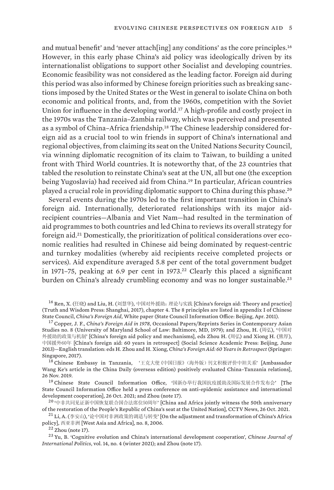and mutual benefit' and 'never attach[ing] any conditions' as the core principles.<sup>16</sup> However, in this early phase China's aid policy was ideologically driven by its internationalist obligations to support other Socialist and developing countries. Economic feasibility was not considered as the leading factor. Foreign aid during this period was also informed by Chinese foreign priorities such as breaking sanctions imposed by the United States or the West in general to isolate China on both economic and political fronts, and, from the 1960s, competition with the Soviet Union for influence in the developing world.17 A high-profile and costly project in the 1970s was the Tanzania–Zambia railway, which was perceived and presented as a symbol of China–Africa friendship.18 The Chinese leadership considered foreign aid as a crucial tool to win friends in support of China's international and regional objectives, from claiming its seat on the United Nations Security Council, via winning diplomatic recognition of its claim to Taiwan, to building a united front with Third World countries. It is noteworthy that, of the 23 countries that tabled the resolution to reinstate China's seat at the UN, all but one (the exception being Yugoslavia) had received aid from China.19 In particular, African countries played a crucial role in providing diplomatic support to China during this phase.<sup>20</sup>

Several events during the 1970s led to the first important transition in China's foreign aid. Internationally, deteriorated relationships with its major aidrecipient countries—Albania and Viet Nam—had resulted in the termination of aid programmes to both countries and led China to reviews its overall strategy for foreign aid.21 Domestically, the prioritization of political considerations over economic realities had resulted in Chinese aid being dominated by request-centric and turnkey modalities (whereby aid recipients receive completed projects or services). Aid expenditure averaged 5.8 per cent of the total government budget in 1971-75, peaking at 6.9 per cent in 1973.<sup>22</sup> Clearly this placed a significant burden on China's already crumbling economy and was no longer sustainable.<sup>23</sup>

 $^{16}$  Ren, X. (任晓) and Liu, H. (刘慧华), 中国对外援助: 理论与实践 [China's foreign aid: Theory and practice] (Truth and Wisdom Press: Shanghai, 2017), chapter 4. The 8 principles are listed in appendix I of Chinese State Council, *[China's Foreign Aid](http://www.china.org.cn/government/whitepaper/node_7116362.htm)*, White paper (State Council Information Office: Beijing, Apr. 2011).

<sup>17</sup> Copper, J. F., *[China's Foreign Aid in 1978](https://core.ac.uk/download/pdf/56353791.pdf)*, Occasional Papers/Reprints Series in Contemporary Asian Studies no. 8 (University of Maryland School of Law: Baltimore, MD, 1979); and Zhou, H. (周弘), '中国对 外援助的政策与机制' [China's foreign aid policy and mechanisms], eds Zhou H. (周弘) and Xiong H. (熊厚), 中国援外60年 [\[China's foreign aid: 60 years in retrospect\]](https://doi.org/10.1007/978-981-10-2128-2) (Social Science Academic Press: Beijing, June 2013)—English translation: eds H. Zhou and H. Xiong, *China's Foreign Aid: 60 Years in Retrospect* (Springer: Singapore, 2017).

<sup>18</sup> Chinese Embassy in Tanzania, '王克大使《中国日报》(海外版)刊文积极评价中坦关系' [Ambassador [Wang Ke's article in the China Daily \(overseas edition\) positively evaluated China–Tanzania relations\]](http://tz.china-embassy.org/sgdt/201911/t20191126_6175916.htm), 26 Nov. 2019.

<sup>19</sup> Chinese State Council Information Office, '国新办举行我国抗疫援助及国际发展合作发布会' [The [State Council Information Office held a press conference on anti-epidemic assistance and international](http://www.scio.gov.cn/xwfbh/xwbfbh/wqfbh/44687/47280/wz47282/Document/1715312/1715312.htm)  [development cooperation\]](http://www.scio.gov.cn/xwfbh/xwbfbh/wqfbh/44687/47280/wz47282/Document/1715312/1715312.htm), 26 Oct. 2021; and Zhou (note 17).

<sup>20</sup> '中非共同见证新中国恢复联合国合法席位50周年' [\[China and Africa jointly witness the 50th anniversary](https://www.chinanews.com.cn/gn/2021/10-26/9595147.shtml)  [of the restoration of the People's Republic of China's seat at the United Nation\]](https://www.chinanews.com.cn/gn/2021/10-26/9595147.shtml), CCTV News, 26 Oct. 2021.

<sup>21</sup> Li, A. (李安山), '论中国对非洲政策的调适与转变' [\[On the adjustment and transformation of China's Africa](https://case.iprcc.org.cn/Home/Index/down1/id/985.html)  [policy](https://case.iprcc.org.cn/Home/Index/down1/id/985.html)], 西亚非洲 [West Asia and Africa], no. 8, 2006.

 $22$  Zhou (note 17).

<sup>23</sup> Yu, B. '[Cognitive evolution and China's international development cooperation'](https://doi.org/10.1093/cjip/poab014), *Chinese Journal of International Politics*, vol. 14, no. 4 (winter 2021); and Zhou (note 17).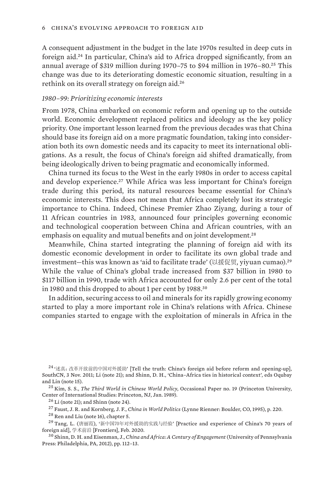A consequent adjustment in the budget in the late 1970s resulted in deep cuts in foreign aid.24 In particular, China's aid to Africa dropped significantly, from an annual average of \$319 million during 1970–75 to \$94 million in 1976–80.25 This change was due to its deteriorating domestic economic situation, resulting in a rethink on its overall strategy on foreign aid.<sup>26</sup>

#### *1980–99: Prioritizing economic interests*

From 1978, China embarked on economic reform and opening up to the outside world. Economic development replaced politics and ideology as the key policy priority. One important lesson learned from the previous decades was that China should base its foreign aid on a more pragmatic foundation, taking into consideration both its own domestic needs and its capacity to meet its international obligations. As a result, the focus of China's foreign aid shifted dramatically, from being ideologically driven to being pragmatic and economically informed.

China turned its focus to the West in the early 1980s in order to access capital and develop experience.<sup>27</sup> While Africa was less important for China's foreign trade during this period, its natural resources became essential for China's economic interests. This does not mean that Africa completely lost its strategic importance to China. Indeed, Chinese Premier Zhao Ziyang, during a tour of 11 African countries in 1983, announced four principles governing economic and technological cooperation between China and African countries, with an emphasis on equality and mutual benefits and on joint development.<sup>28</sup>

Meanwhile, China started integrating the planning of foreign aid with its domestic economic development in order to facilitate its own global trade and investment—this was known as 'aid to facilitate trade' (以援促贸, yiyuan cumao).<sup>29</sup> While the value of China's global trade increased from \$37 billion in 1980 to \$117 billion in 1990, trade with Africa accounted for only 2.6 per cent of the total in 1980 and this dropped to about 1 per cent by 1988.<sup>30</sup>

In addition, securing access to oil and minerals for its rapidly growing economy started to play a more important role in China's relations with Africa. Chinese companies started to engage with the exploitation of minerals in Africa in the

 $24 \cdot$  法真: 改革开放前的中国对外援助' [\[Tell the truth: China's foreign aid before reform and opening-up\]](https://view.news.qq.com/a/20100816/000042_3.htm), SouthCN, 3 Nov. 2011; Li (note 21); and Shinn, D. H., '[China–Africa ties in historical context](https://doi.org/10.1093/oso/9780198830504.003.0004)', eds Oqubay and Lin (note 15).

<sup>25</sup> Kim, S. S., *The Third World in Chinese World Policy*, Occasional Paper no. 19 (Princeton University, Center of International Studies: Princeton, NJ, Jan. 1989).

 $26$  Li (note 21): and Shinn (note 24).

<sup>27</sup> Faust, J. R. and Kornberg, J. F., *China in World Politics* (Lynne Rienner: Boulder, CO, 1995), p. 220.

<sup>28</sup> Ren and Liu (note 16), chapter 5.

<sup>29</sup> Tang, L. (唐丽霞), '新中国70年对外援助的实践与经验' [\[Practice and experience of China's 70 years of](https://doi.org/10.16619/j.cnki.rmltxsqy.2020.03.009)  [foreign aid\]](https://doi.org/10.16619/j.cnki.rmltxsqy.2020.03.009), 学术前沿 [Frontiers], Feb. 2020.

<sup>30</sup> Shinn, D. H. and Eisenman, J., *[China and Africa: A Century of Engagement](https://doi.org/10.9783/9780812208009)* (University of Pennsylvania Press: Philadelphia, PA, 2012), pp. 112–13.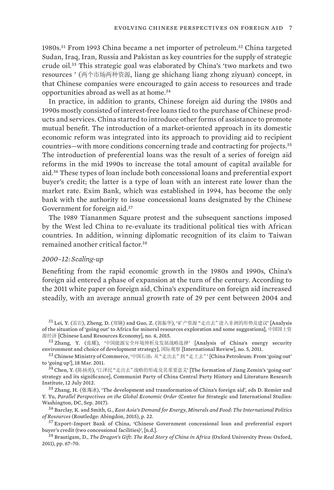1980s.31 From 1993 China became a net importer of petroleum.32 China targeted Sudan, Iraq, Iran, Russia and Pakistan as key countries for the supply of strategic crude oil.33 This strategic goal was elaborated by China's 'two markets and two resources ' (两个市场两种资源, liang ge shichang liang zhong ziyuan) concept, in that Chinese companies were encouraged to gain access to resources and trade opportunities abroad as well as at home.<sup>34</sup>

In practice, in addition to grants, Chinese foreign aid during the 1980s and 1990s mostly consisted of interest-free loans tied to the purchase of Chinese products and services. China started to introduce other forms of assistance to promote mutual benefit. The introduction of a market-oriented approach in its domestic economic reform was integrated into its approach to providing aid to recipient countries—with more conditions concerning trade and contracting for projects.<sup>35</sup> The introduction of preferential loans was the result of a series of foreign aid reforms in the mid 1990s to increase the total amount of capital available for aid.36 These types of loan include both concessional loans and preferential export buyer's credit; the latter is a type of loan with an interest rate lower than the market rate. Exim Bank, which was established in 1994, has become the only bank with the authority to issue concessional loans designated by the Chinese Government for foreign aid.<sup>37</sup>

The 1989 Tiananmen Square protest and the subsequent sanctions imposed by the West led China to re-evaluate its traditional political ties with African countries. In addition, winning diplomatic recognition of its claim to Taiwan remained another critical factor.<sup>38</sup>

#### *2000–12: Scaling-up*

Benefiting from the rapid economic growth in the 1980s and 1990s, China's foreign aid entered a phase of expansion at the turn of the century. According to the 2011 white paper on foreign aid, China's expenditure on foreign aid increased steadily, with an average annual growth rate of 29 per cent between 2004 and

 $31$  Lei, Y. (雷岩), Zheng, D. (郑镝) and Guo, Z. (郭振华), '矿产资源 "走出去"进入非洲的形势及建议' [Analysis [of the situation of 'going out' to Africa for mineral resources exploration and some suggestions](http://www.canre.org.cn/uploadfile/4444.pdf)], 中国国土资 源经济 [Chinese Land Resources Economy], no. 4, 2015.

<sup>32</sup> Zhang, Y. (张耀), '中国能源安全环境辨析及发展战略选择' [[Analysis of China's energy security](http://library.ttcdw.com/libary/wenhuakejisuyang/nengyuanjishu/17342.html)  [environment and choice of development strategy\]](http://library.ttcdw.com/libary/wenhuakejisuyang/nengyuanjishu/17342.html), 国际观察 [International Review], no. 5, 2011.

<sup>33</sup> Chinese Ministry of Commerce, '中国石油:从"走出去"到"走上去"' [\[China Petroleum: From 'going out'](http://fec.mofcom.gov.cn/article/ywzn/xgzx/zlyj/201511/20151101187153.shtml)  [to 'going up'\]](http://fec.mofcom.gov.cn/article/ywzn/xgzx/zlyj/201511/20151101187153.shtml), 18 Mar. 2011.

34 Chen, Y. (陈扬勇), '江泽民"走出去"战略的形成及其重要意义' [The formation of Jiang Zemin's 'going out' [strategy and its significance](https://www.dswxyjy.org.cn/n1/2019/0228/c425426-30909751.html)], Communist Party of China Central Party History and Literature Research Institute, 12 July 2012.

<sup>35</sup> Zhang, H. (张海冰), '[The development and transformation of China's foreign aid](https://www.csis.org/analysis/parallel-perspectives-global-economic-order)', eds D. Remier and Y. Yu, *Parallel Perspectives on the Global Economic Order* (Center for Strategic and International Studies: Washington, DC, Sep. 2017).

<sup>36</sup> Barclay, K. and Smith, G., *East Asia's Demand for Energy*, *Minerals and Food: The International Politics of Resources* (Routledge: Abingdon, 2015), p. 22.

<sup>37</sup> Export–Import Bank of China, '[Chinese Government concessional loan and preferential export](http://english.eximbank.gov.cn/Business/CreditB/SupportingFC/201810/t20181016_6972.html)  [buyer's credit \(two concessional facilities\)](http://english.eximbank.gov.cn/Business/CreditB/SupportingFC/201810/t20181016_6972.html)', [n.d.].

<sup>38</sup> Brautigam, D., *The Dragon's Gift: The Real Story of China in Africa* (Oxford University Press: Oxford, 2011), pp. 67–70.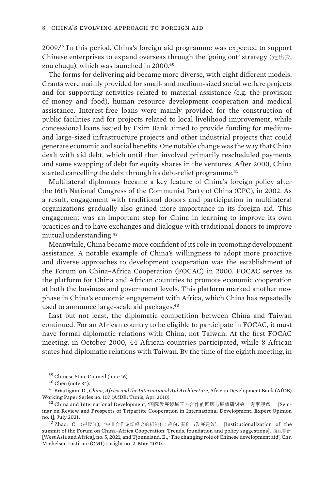2009.39 In this period, China's foreign aid programme was expected to support Chinese enterprises to expand overseas through the 'going out' strategy ( $\pm \pm \pm$ , zou chuqu), which was launched in 2000.<sup>40</sup>

The forms for delivering aid became more diverse, with eight different models. Grants were mainly provided for small- and medium-sized social welfare projects and for supporting activities related to material assistance (e.g. the provision of money and food), human resource development cooperation and medical assistance. Interest-free loans were mainly provided for the construction of public facilities and for projects related to local livelihood improvement, while concessional loans issued by Exim Bank aimed to provide funding for mediumand large-sized infrastructure projects and other industrial projects that could generate economic and social benefits. One notable change was the way that China dealt with aid debt, which until then involved primarily rescheduled payments and some swapping of debt for equity shares in the ventures. After 2000, China started cancelling the debt through its debt-relief programme.<sup>41</sup>

Multilateral diplomacy became a key feature of China's foreign policy after the 16th National Congress of the Communist Party of China (CPC), in 2002. As a result, engagement with traditional donors and participation in multilateral organizations gradually also gained more importance in its foreign aid. This engagement was an important step for China in learning to improve its own practices and to have exchanges and dialogue with traditional donors to improve mutual understanding.<sup>42</sup>

Meanwhile, China became more confident of its role in promoting development assistance. A notable example of China's willingness to adopt more proactive and diverse approaches to development cooperation was the establishment of the Forum on China–Africa Cooperation (FOCAC) in 2000. FOCAC serves as the platform for China and African countries to promote economic cooperation at both the business and government levels. This platform marked another new phase in China's economic engagement with Africa, which China has repeatedly used to announce large-scale aid packages.<sup>43</sup>

Last but not least, the diplomatic competition between China and Taiwan continued. For an African country to be eligible to participate in FOCAC, it must have formal diplomatic relations with China, not Taiwan. At the first FOCAC meeting, in October 2000, 44 African countries participated, while 8 African states had diplomatic relations with Taiwan. By the time of the eighth meeting, in

<sup>39</sup> Chinese State Council (note 16).

<sup>40</sup> Chen (note 34).

<sup>41</sup> Bräutigam, D., *[China, Africa and the International Aid Architecture](https://www.afdb.org/fileadmin/uploads/afdb/Documents/Publications/WORKING 107  PDF E33.pdf)*, African Development Bank (AfDB) Working Paper Series no. 107 (AfDB: Tunis, Apr. 2010).

 $42$  China and International Development, '国际发展领域三方合作的回顾与展望研讨会一专家观点一' [[Sem](https://caidev.org.cn/news/1138)[inar on Review and Prospects of Tripartite Cooperation in International Development: Expert Opinion](https://caidev.org.cn/news/1138)  [no.](https://caidev.org.cn/news/1138) 1], July 2021.

<sup>43</sup> Zhao, C. (赵晨光), '中非合作论坛峰会的机制化:趋向、基础与发展建议' [\[Institutionalization of the](http://www.xyfzqk.org/UploadFile/Issue/vyox5p21.pdf)  [summit of the Forum on China–Africa Cooperation: Trends, foundation and policy suggestions](http://www.xyfzqk.org/UploadFile/Issue/vyox5p21.pdf)], 西亚非洲 [West Asia and Africa], no. 5, 2021; and Tjønneland, E., '[The changing role of Chinese development aid](https://www.cmi.no/publications/file/7173-the-changing-role-of-chinese-development-aid.pdf)', Chr. Michelsen Institute (CMI) Insight no. 2, Mar. 2020.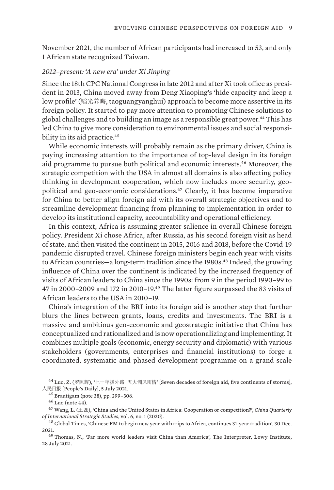November 2021, the number of African participants had increased to 53, and only 1 African state recognized Taiwan.

### *2012–present: 'A new era' under Xi Jinping*

Since the 18th CPC National Congress in late 2012 and after Xi took office as president in 2013, China moved away from Deng Xiaoping's 'hide capacity and keep a low profile' (韬光养晦, taoguangyanghui) approach to become more assertive in its foreign policy. It started to pay more attention to promoting Chinese solutions to global challenges and to building an image as a responsible great power.44 This has led China to give more consideration to environmental issues and social responsibility in its aid practice.<sup>45</sup>

While economic interests will probably remain as the primary driver, China is paying increasing attention to the importance of top-level design in its foreign aid programme to pursue both political and economic interests.46 Moreover, the strategic competition with the USA in almost all domains is also affecting policy thinking in development cooperation, which now includes more security, geopolitical and geo-economic considerations.47 Clearly, it has become imperative for China to better align foreign aid with its overall strategic objectives and to streamline development financing from planning to implementation in order to develop its institutional capacity, accountability and operational efficiency.

In this context, Africa is assuming greater salience in overall Chinese foreign policy. President Xi chose Africa, after Russia, as his second foreign visit as head of state, and then visited the continent in 2015, 2016 and 2018, before the Covid-19 pandemic disrupted travel. Chinese foreign ministers begin each year with visits to African countries—a long-term tradition since the 1980s.48 Indeed, the growing influence of China over the continent is indicated by the increased frequency of visits of African leaders to China since the 1990s: from 9 in the period 1990–99 to 47 in 2000–2009 and 172 in 2010–19.49 The latter figure surpassed the 83 visits of African leaders to the USA in 2010–19.

China's integration of the BRI into its foreign aid is another step that further blurs the lines between grants, loans, credits and investments. The BRI is a massive and ambitious geo-economic and geostrategic initiative that China has conceptualized and rationalized and is now operationalizing and implementing. It combines multiple goals (economic, energy security and diplomatic) with various stakeholders (governments, enterprises and financial institutions) to forge a coordinated, systematic and phased development programme on a grand scale

<sup>44</sup> Luo, Z. (罗照辉), '七十年援外路 五大洲风雨情' [\[Seven decades of foreign aid, five continents of storms\],](http://world.people.com.cn/n1/2021/0705/c1002-32148239.html)  人民日报 [\[People's Daily\]](http://world.people.com.cn/n1/2021/0705/c1002-32148239.html), 5 July 2021.

<sup>45</sup> Brautigam (note 38), pp. 299–306.

 $46$  Luo (note 44).

<sup>47</sup> Wang, L. (王磊), '[China and the United States in Africa: Cooperation or competition?'](https://doi.org/10.1142/S2377740020500037), *China Quarterly of International Strategic Studies*, vol. 6, no. 1 (2020).

<sup>48</sup> Global Times, ['Chinese FM to begin new year with trips to Africa, continues 31-year tradition'](https://www.globaltimes.cn/page/202112/1243808.shtml), 30 Dec. 2021.

<sup>49</sup> Thomas, N., '[Far more world leaders visit China than America'](https://www.lowyinstitute.org/the-interpreter/far-more-world-leaders-visit-china-america), The Interpreter, Lowy Institute, 28 July 2021.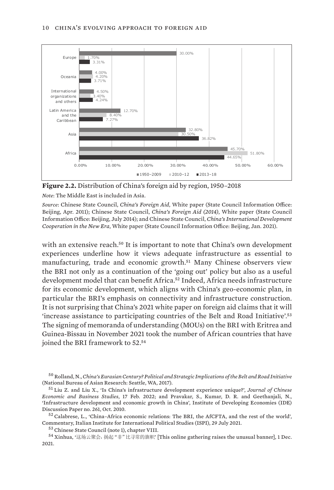<span id="page-21-0"></span>

**Figure 2.2.** Distribution of China's foreign aid by region, 1950–2018

*Note*: The Middle East is included in Asia.

*Source*: Chinese State Council, *[China's Foreign Aid](http://www.china.org.cn/government/whitepaper/node_7116362.htm)*, White paper (State Council Information Office: Beijing, Apr. 2011); Chinese State Council, *[China's Foreign Aid \(2014\)](http://english.www.gov.cn/archive/white_paper/2014/08/23/content_281474982986592.htm)*, White paper (State Council Information Office: Beijing, July 2014); and Chinese State Council, *[China's International Development](http://english.www.gov.cn/atts/stream/files/5ffa69cac6d0cc300eea77af)  [Cooperation in the New Era](http://english.www.gov.cn/atts/stream/files/5ffa69cac6d0cc300eea77af)*, White paper (State Council Information Office: Beijing, Jan. 2021).

with an extensive reach.<sup>50</sup> It is important to note that China's own development experiences underline how it views adequate infrastructure as essential to manufacturing, trade and economic growth.<sup>51</sup> Many Chinese observers view the BRI not only as a continuation of the 'going out' policy but also as a useful development model that can benefit Africa.52 Indeed, Africa needs infrastructure for its economic development, which aligns with China's geo-economic plan, in particular the BRI's emphasis on connectivity and infrastructure construction. It is not surprising that China's 2021 white paper on foreign aid claims that it will 'increase assistance to participating countries of the Belt and Road Initiative'.<sup>53</sup> The signing of memoranda of understanding (MOUs) on the BRI with Eritrea and Guinea-Bissau in November 2021 took the number of African countries that have joined the BRI framework to 52.<sup>54</sup>

 $52$  Calabrese, L., ['China–Africa economic relations: The BRI, the AfCFTA, and the rest of the world'](https://www.ispionline.it/en/pubblicazione/china-africa-economic-relations-bri-afcfta-and-rest-world-31179), Commentary, Italian Institute for International Political Studies (ISPI), 29 July 2021.

<sup>53</sup> Chinese State Council (note 1), chapter VIII.

<sup>50</sup> Rolland, N., *[China's Eurasian Century? Political and Strategic Implications of the Belt and Road Initiative](https://www.nbr.org/publication/chinas-eurasian-century-political-and-strategic-implications-of-the-belt-and-road-initiative/)*  (National Bureau of Asian Research: Seattle, WA, 2017).

<sup>51</sup> Liu Z. and Liu X., '[Is China's infrastructure development experience unique?'](https://doi.org/10.1080/14765284.2022.2040074), *Journal of Chinese Economic and Business Studies*, 17 Feb. 2022; and Pravakar, S., Kumar, D. R. and Geethanjali, N., '[Infrastructure development and economic growth in China'](http://doi.org/10.20561/00037905), Institute of Developing Economies (IDE) Discussion Paper no. 261, Oct. 2010.

<sup>54</sup> Xinhua, '这场云聚会,扬起"非"比寻常的旗帜' [[This online gathering raises the unusual banner\]](http://www.news.cn/world/2021-12/01/c_1128119658.htm), 1 Dec. 2021.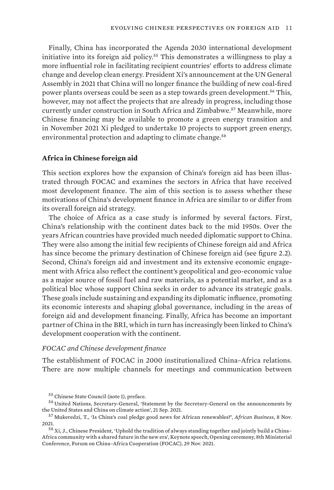<span id="page-22-0"></span>Finally, China has incorporated the Agenda 2030 international development initiative into its foreign aid policy.55 This demonstrates a willingness to play a more influential role in facilitating recipient countries' efforts to address climate change and develop clean energy. President Xi's announcement at the UN General Assembly in 2021 that China will no longer finance the building of new coal-fired power plants overseas could be seen as a step towards green development.<sup>56</sup> This, however, may not affect the projects that are already in progress, including those currently under construction in South Africa and Zimbabwe.57 Meanwhile, more Chinese financing may be available to promote a green energy transition and in November 2021 Xi pledged to undertake 10 projects to support green energy, environmental protection and adapting to climate change.<sup>58</sup>

### **Africa in Chinese foreign aid**

This section explores how the expansion of China's foreign aid has been illustrated through FOCAC and examines the sectors in Africa that have received most development finance. The aim of this section is to assess whether these motivations of China's development finance in Africa are similar to or differ from its overall foreign aid strategy.

The choice of Africa as a case study is informed by several factors. First, China's relationship with the continent dates back to the mid 1950s. Over the years African countries have provided much needed diplomatic support to China. They were also among the initial few recipients of Chinese foreign aid and Africa has since become the primary destination of Chinese foreign aid (see figure 2.2). Second, China's foreign aid and investment and its extensive economic engagement with Africa also reflect the continent's geopolitical and geo-economic value as a major source of fossil fuel and raw materials, as a potential market, and as a political bloc whose support China seeks in order to advance its strategic goals. These goals include sustaining and expanding its diplomatic influence, promoting its economic interests and shaping global governance, including in the areas of foreign aid and development financing. Finally, Africa has become an important partner of China in the BRI, which in turn has increasingly been linked to China's development cooperation with the continent.

### *FOCAC and Chinese development finance*

The establishment of FOCAC in 2000 institutionalized China–Africa relations. There are now multiple channels for meetings and communication between

<sup>55</sup> Chinese State Council (note 1), preface.

<sup>56</sup> United Nations, Secretary-General, '[Statement by the Secretary-General on the announcements by](https://www.un.org/sg/en/node/259280)  [the United States and China on climate action'](https://www.un.org/sg/en/node/259280), 21 Sep. 2021.

<sup>57</sup> Mukeredzi, T., ['Is China's coal pledge good news for African renewables?](https://african.business/2021/11/energy-resources/chinas-overseas-coal-funding-cuts-good-news-for-african-renewables/)', *African Business*, 8 Nov. 2021.

<sup>58</sup> Xi, J., Chinese President, '[Uphold the tradition of always standing together and jointly build a China–](http://focac.org.cn/focacdakar/eng/zxyw_1/202112/t20211202_10461076.htm) [Africa community with a shared future in the new era](http://focac.org.cn/focacdakar/eng/zxyw_1/202112/t20211202_10461076.htm)', Keynote speech, Opening ceremony, 8th Ministerial Conference, Forum on China–Africa Cooperation (FOCAC), 29 Nov. 2021.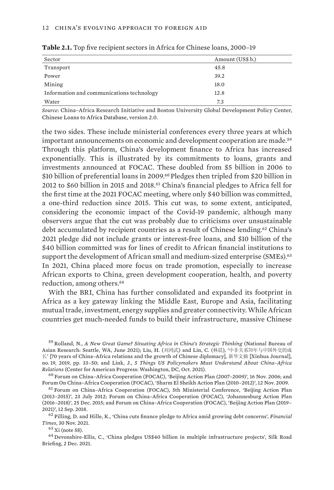| Sector                                    | Amount (US\$ b.) |
|-------------------------------------------|------------------|
| Transport                                 | 45.8             |
| Power                                     | 39.2             |
| Mining                                    | 18.0             |
| Information and communications technology | 12.8             |
| Water                                     | 7.3              |

<span id="page-23-0"></span>**Table 2.1.** Top five recipient sectors in Africa for Chinese loans, 2000–19

*Source*: China–Africa Research Initiative and Boston University Global Development Policy Center, [Chinese Loans to Africa Database](https://chinaafricaloandata.bu.edu/), version 2.0.

the two sides. These include ministerial conferences every three years at which important announcements on economic and development cooperation are made.<sup>59</sup> Through this platform, China's development finance to Africa has increased exponentially. This is illustrated by its commitments to loans, grants and investments announced at FOCAC. These doubled from \$5 billion in 2006 to \$10 billion of preferential loans in 2009.<sup>60</sup> Pledges then tripled from \$20 billion in 2012 to \$60 billion in 2015 and 2018.61 China's financial pledges to Africa fell for the first time at the 2021 FOCAC meeting, where only \$40 billion was committed, a one-third reduction since 2015. This cut was, to some extent, anticipated, considering the economic impact of the Covid-19 pandemic, although many observers argue that the cut was probably due to criticisms over unsustainable debt accumulated by recipient countries as a result of Chinese lending.<sup>62</sup> China's 2021 pledge did not include grants or interest-free loans, and \$10 billion of the \$40 billion committed was for lines of credit to African financial institutions to support the development of African small and medium-sized enterprise (SMEs).<sup>63</sup> In 2021, China placed more focus on trade promotion, especially to increase African exports to China, green development cooperation, health, and poverty reduction, among others.<sup>64</sup>

With the BRI, China has further consolidated and expanded its footprint in Africa as a key gateway linking the Middle East, Europe and Asia, facilitating mutual trade, investment, energy supplies and greater connectivity. While African countries get much-needed funds to build their infrastructure, massive Chinese

<sup>59</sup> Rolland, N., *[A New Great Game? Situating Africa in China's Strategic Thinking](https://www.nbr.org/wp-content/uploads/pdfs/publications/sr91_rolland_june2021.pdf)* (National Bureau of Asian Research: Seattle, WA, June 2021); Liu, H. (刘鸿武) and Lin, C. (林晨), '中非关系70年与中国外交的成 长' [\[70 years of China–Africa relations and the growth of Chinese diplomacy\]](http://www.xyfzqk.org/UploadFile/Issue/epcfp40e.pdf), 新华文摘 [Xinhua Journal], no. 19, 2019, pp. 33–50; and Link, J., *[5 Things US Policymakers Must Understand About China–Africa](https://cf.americanprogress.org/wp-content/uploads/2021/10/ChinaAfrica-report.pdf)  [Relations](https://cf.americanprogress.org/wp-content/uploads/2021/10/ChinaAfrica-report.pdf)* (Center for American Progress: Washington, DC, Oct. 2021).

 $^{60}$  Forum on China–Africa Cooperation (FOCAC), '[Beijing Action Plan \(2007–2009\)'](http://www.focac.org/eng/zywx_1/zywj/200611/t20061116_7933564.htm), 16 Nov. 2006; and Forum On China–Africa Cooperation (FOCAC), ['Sharm El Sheikh Action Plan \(2010–2012\)](http://www.focac.org/eng/zywx_1/zywj/200911/t20091112_7933571.htm)', 12 Nov. 2009.

<sup>61</sup> Forum on China–Africa Cooperation (FOCAC), 5th Ministerial Conference, '[Beijing Action Plan](http://www.focac.org/eng/zywx_1/zywj/201207/t20120723_8079762.htm)  [\(2013–2015\)'](http://www.focac.org/eng/zywx_1/zywj/201207/t20120723_8079762.htm), 23 July 2012; Forum on China–Africa Cooperation (FOCAC), '[Johannesburg Action Plan](http://www.focac.org/eng/zywx_1/zywj/201512/t20151225_7933575.htm)  [\(2016–2018\)](http://www.focac.org/eng/zywx_1/zywj/201512/t20151225_7933575.htm)', 25 Dec. 2015; and Forum on China–Africa Cooperation (FOCAC), '[Beijing Action Plan \(2019–](http://www.focac.org/eng/zywx_1/zywj/201809/t20180912_7933578.htm) [2021\)'](http://www.focac.org/eng/zywx_1/zywj/201809/t20180912_7933578.htm), 12 Sep. 2018.

<sup>62</sup> Pilling, D. and Hille, K., ['China cuts finance pledge to Africa amid growing debt concerns](https://www.ft.com/content/b7bd253a-766d-41b0-923e-9f6701176916)', *Financial Times*, 30 Nov. 2021.

 $63$  Xi (note 58).

<sup>64</sup> Devonshire-Ellis, C., '[China pledges US\\$40 billion in multiple infrastructure projects'](https://www.silkroadbriefing.com/news/2021/12/02/china-pledges-us40-billion-in-multiple-infrastructure-projects-for-africa/), Silk Road Briefing, 2 Dec. 2021.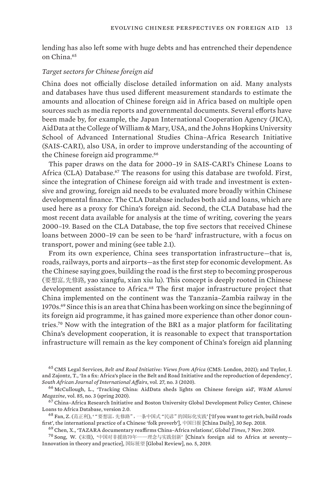lending has also left some with huge debts and has entrenched their dependence on China.<sup>65</sup>

#### *Target sectors for Chinese foreign aid*

China does not officially disclose detailed information on aid. Many analysts and databases have thus used different measurement standards to estimate the amounts and allocation of Chinese foreign aid in Africa based on multiple open sources such as media reports and governmental documents. Several efforts have been made by, for example, the Japan International Cooperation Agency (JICA), AidData at the College of William & Mary, USA, and the Johns Hopkins University School of Advanced International Studies China–Africa Research Initiative (SAIS-CARI), also USA, in order to improve understanding of the accounting of the Chinese foreign aid programme.<sup>66</sup>

This paper draws on the data for 2000–19 in SAIS-CARI's Chinese Loans to Africa (CLA) Database.<sup>67</sup> The reasons for using this database are twofold. First, since the integration of Chinese foreign aid with trade and investment is extensive and growing, foreign aid needs to be evaluated more broadly within Chinese developmental finance. The CLA Database includes both aid and loans, which are used here as a proxy for China's foreign aid. Second, the CLA Database had the most recent data available for analysis at the time of writing, covering the years 2000–19. Based on the CLA Database, the top five sectors that received Chinese loans between 2000–19 can be seen to be 'hard' infrastructure, with a focus on transport, power and mining (see table 2.1).

From its own experience, China sees transportation infrastructure—that is, roads, railways, ports and airports—as the first step for economic development. As the Chinese saying goes, building the road is the first step to becoming prosperous (要想富,先修路, yao xiangfu, xian xiu lu). This concept is deeply rooted in Chinese development assistance to Africa.<sup>68</sup> The first major infrastructure project that China implemented on the continent was the Tanzania–Zambia railway in the 1970s.69 Since this is an area that China has been working on since the beginning of its foreign aid programme, it has gained more experience than other donor countries.70 Now with the integration of the BRI as a major platform for facilitating China's development cooperation, it is reasonable to expect that transportation infrastructure will remain as the key component of China's foreign aid planning

<sup>65</sup> CMS Legal Services, *[Belt and Road Initiative: Views from Africa](https://cms.law/en/media/international/files/publications/publications/bri-view-from-africa?v=1)* (CMS: London, 2021); and Taylor, I. and Zajontz, T., '[In a fix: Africa's place in the Belt and Road Initiative and the reproduction of dependency'](https://doi.org/10.1080/10220461.2020.1830165), *South African Journal of International Affairs*, vol. 27, no. 3 (2020).

<sup>66</sup> McCullough, L., '[Tracking China: AidData sheds lights on Chinese foreign aid](https://magazine.wm.edu/issue/2020-spring/tracking-china.php)', *W&M Alumni Magazine*, vol. 85, no. 3 (spring 2020).

 $^{67}$ China–Africa Research Initiative and Boston University Global Development Policy Center, Chinese [Loans to Africa Database,](https://chinaafricaloandata.bu.edu/) version 2.0.

<sup>&</sup>lt;sup>68</sup> Fan, Z. (范正利), ' "要想富, 先修路", 一条中国式 "民谚"的国际化实践' ['If you want to get rich, build roads [first', the international practice of a Chinese 'folk proverb'\]](http://china.chinadaily.com.cn/2018-09/30/content_37010654.htm), 中国日报 [China Daily], 30 Sep. 2018.

<sup>69</sup> Chen, X., '[TAZARA documentary reaffirms China–Africa relations](https://www.globaltimes.cn/content/1169284.shtml)', *Global Times*, 7 Nov. 2019.

 $70$  Song, W. (宋微), '中国对非援助70年——理念与实践创新' [\[China's foreign aid to Africa at seventy—](http://aid-res.mihuyc.com/article/20201128/2011282218890310.pdf) [Innovation in theory and practice\]](http://aid-res.mihuyc.com/article/20201128/2011282218890310.pdf), 国际展望 [Global Review], no. 5, 2019.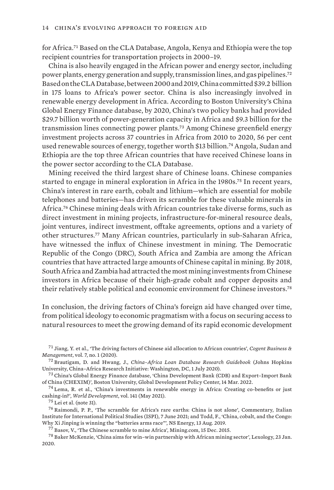for Africa.71 Based on the CLA Database, Angola, Kenya and Ethiopia were the top recipient countries for transportation projects in 2000–19.

China is also heavily engaged in the African power and energy sector, including power plants, energy generation and supply, transmission lines, and gas pipelines.<sup>72</sup> Based on the CLA Database, between 2000 and 2019, China committed \$39.2 billion in 175 loans to Africa's power sector. China is also increasingly involved in renewable energy development in Africa. According to Boston University's China Global Energy Finance database, by 2020, China's two policy banks had provided \$29.7 billion worth of power-generation capacity in Africa and \$9.3 billion for the transmission lines connecting power plants.73 Among Chinese greenfield energy investment projects across 37 countries in Africa from 2010 to 2020, 56 per cent used renewable sources of energy, together worth \$13 billion.74 Angola, Sudan and Ethiopia are the top three African countries that have received Chinese loans in the power sector according to the CLA Database.

Mining received the third largest share of Chinese loans. Chinese companies started to engage in mineral exploration in Africa in the 1980s.75 In recent years, China's interest in rare earth, cobalt and lithium—which are essential for mobile telephones and batteries—has driven its scramble for these valuable minerals in Africa.76 Chinese mining deals with African countries take diverse forms, such as direct investment in mining projects, infrastructure-for-mineral resource deals, joint ventures, indirect investment, offtake agreements, options and a variety of other structures.77 Many African countries, particularly in sub-Saharan Africa, have witnessed the influx of Chinese investment in mining. The Democratic Republic of the Congo (DRC), South Africa and Zambia are among the African countries that have attracted large amounts of Chinese capital in mining. By 2018, South Africa and Zambia had attracted the most mining investments from Chinese investors in Africa because of their high-grade cobalt and copper deposits and their relatively stable political and economic environment for Chinese investors.<sup>78</sup>

In conclusion, the driving factors of China's foreign aid have changed over time, from political ideology to economic pragmatism with a focus on securing access to natural resources to meet the growing demand of its rapid economic development

 $76$  Raimondi, P. P., '[The scramble for Africa's rare earths: China is not alone](https://www.ispionline.it/en/publication/scramble-africas-rare-earths-china-not-alone-30725)', Commentary, Italian Institute for International Political Studies (ISPI), 7 June 2021; and Todd, F., ['China, cobalt, and the Congo:](https://www.nsenergybusiness.com/features/china-cobalt-congo-batteries/)  [Why Xi Jinping is winning the "batteries arms race](https://www.nsenergybusiness.com/features/china-cobalt-congo-batteries/)"', NS Energy, 13 Aug. 2019.

<sup>77</sup> Basov, V., '[The Chinese scramble to mine Africa'](https://www.mining.com/feature-chinas-scramble-for-africa/), Mining.com, 15 Dec. 2015.

<sup>78</sup> Baker McKenzie, ['China aims for win–win partnership with African mining sector'](https://www.lexology.com/library/detail.aspx?g=fca53597-defd-4517-a811-6f02576ef4c9), Lexology, 23 Jan. 2020.

<sup>71</sup> Jiang, Y. et al., '[The driving factors of Chinese aid allocation to African countries'](https://doi.org/10.1080/23311975.2020.1812219), *Cogent Business & Management*, vol. 7, no. 1 (2020).

<sup>72</sup> Brautigam, D. and Hwang, J., *[China–Africa Loan Database Research Guidebook](https://static1.squarespace.com/static/5652847de4b033f56d2bdc29/t/5efd04572cbaa4329d32be1e/1593640026011/SAIS-CARI+Research+Guidebook+2020.07.01.pdf)* (Johns Hopkins University, China–Africa Research Initiative: Washington, DC, 1 July 2020).

<sup>73</sup> China's Global Energy Finance database, ['China Development Bank \(CDB\) and Export–Import Bank](https://www.bu.edu/cgef/#/intro)  [of China \(CHEXIM\)'](https://www.bu.edu/cgef/#/intro), Boston University, Global Development Policy Center, 14 Mar. 2022.

 $^{74}$  Lema, R. et al., 'China's investments in renewable energy in Africa: Creating co-benefits or just [cashing-in?](https://doi.org/10.1016/j.worlddev.2020.105365)', *World Development*, vol. 141 (May 2021).

<sup>75</sup> Lei et al. (note 31).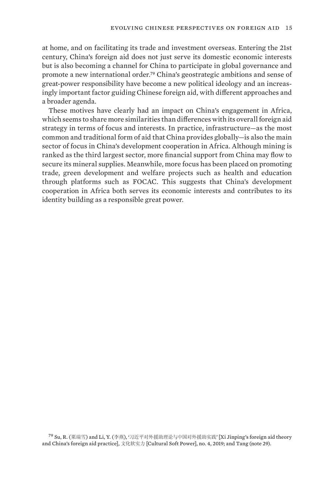at home, and on facilitating its trade and investment overseas. Entering the 21st century, China's foreign aid does not just serve its domestic economic interests but is also becoming a channel for China to participate in global governance and promote a new international order.79 China's geostrategic ambitions and sense of great-power responsibility have become a new political ideology and an increasingly important factor guiding Chinese foreign aid, with different approaches and a broader agenda.

These motives have clearly had an impact on China's engagement in Africa, which seems to share more similarities than differences with its overall foreign aid strategy in terms of focus and interests. In practice, infrastructure—as the most common and traditional form of aid that China provides globally—is also the main sector of focus in China's development cooperation in Africa. Although mining is ranked as the third largest sector, more financial support from China may flow to secure its mineral supplies. Meanwhile, more focus has been placed on promoting trade, green development and welfare projects such as health and education through platforms such as FOCAC. This suggests that China's development cooperation in Africa both serves its economic interests and contributes to its identity building as a responsible great power.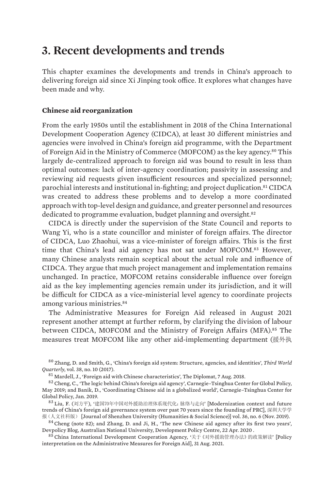## <span id="page-27-0"></span>**3. Recent developments and trends**

This chapter examines the developments and trends in China's approach to delivering foreign aid since Xi Jinping took office. It explores what changes have been made and why.

### **Chinese aid reorganization**

From the early 1950s until the establishment in 2018 of the China International Development Cooperation Agency (CIDCA), at least 30 different ministries and agencies were involved in China's foreign aid programme, with the Department of Foreign Aid in the Ministry of Commerce (MOFCOM) as the key agency.80 This largely de-centralized approach to foreign aid was bound to result in less than optimal outcomes: lack of inter-agency coordination; passivity in assessing and reviewing aid requests given insufficient resources and specialized personnel; parochial interests and institutional in-fighting; and project duplication.81 CIDCA was created to address these problems and to develop a more coordinated approach with top-level design and guidance, and greater personnel and resources dedicated to programme evaluation, budget planning and oversight.<sup>82</sup>

CIDCA is directly under the supervision of the State Council and reports to Wang Yi, who is a state councillor and minister of foreign affairs. The director of CIDCA, Luo Zhaohui, was a vice-minister of foreign affairs. This is the first time that China's lead aid agency has not sat under MOFCOM.83 However, many Chinese analysts remain sceptical about the actual role and influence of CIDCA. They argue that much project management and implementation remains unchanged. In practice, MOFCOM retains considerable influence over foreign aid as the key implementing agencies remain under its jurisdiction, and it will be difficult for CIDCA as a vice-ministerial level agency to coordinate projects among various ministries.<sup>84</sup>

The Administrative Measures for Foreign Aid released in August 2021 represent another attempt at further reform, by clarifying the division of labour between CIDCA, MOFCOM and the Ministry of Foreign Affairs (MFA).<sup>85</sup> The measures treat MOFCOM like any other aid-implementing department (援外执

<sup>80</sup> Zhang, D. and Smith, G., '[China's foreign aid system: Structure, agencies, and identities](https://doi.org/10.1080/01436597.2017.1333419)', *Third World Quarterly*, vol. 38, no. 10 (2017).

 $84$  Cheng (note 82); and Zhang, D. and Ji, H., '[The new Chinese aid agency after its first two years'](https://devpolicy.org/the-new-chinese-aid-agency-after-its-first-two-years-20200422-2/). Devpolicy Blog, Australian National University, Development Policy Centre, 22 Apr. 2020 .

<sup>85</sup> China International Development Cooperation Agency, '关于《对外援助管理办法》的政策解读' [\[Policy](http://www.cidca.gov.cn/2021-08/31/c_1211351316.htm)  [interpretation on the Administrative Measures for Foreign Aid](http://www.cidca.gov.cn/2021-08/31/c_1211351316.htm)], 31 Aug. 2021.

<sup>81</sup> Mardell, J., '[Foreign aid with Chinese characteristics](https://thediplomat.com/2018/08/foreign-aid-with-chinese-characteristics/)', The Diplomat, 7 Aug. 2018.

<sup>82</sup> Cheng, C., ['The logic behind China's foreign aid agency](https://carnegieendowment.org/files/09-26-18_Cheng_China_Development.pdf)', Carnegie–Tsinghua Center for Global Policy, May 2019; and Banik, D., ['Coordinating Chinese aid in a globalized world'](https://carnegieendowment.org/files/1-6_Banik_Chinese_Aid.pdf), Carnegie–Tsinghua Center for Global Policy, Jan. 2019.

<sup>83</sup> Liu, F. (刘方平), '建国70年中国对外援助治理体系现代化:脉络与走向' [\[Modernization context and future](https://xb.szu.edu.cn/CN/Y2019/V36/I6/31)  [trends of China's foreign aid governance system over past 70 years since the founding of PRC](https://xb.szu.edu.cn/CN/Y2019/V36/I6/31)], 深圳大学学 报(人文社科版) [Journal of Shenzhen University (Humanities & Social Science)] vol. 36, no. 6 (Nov. 2019).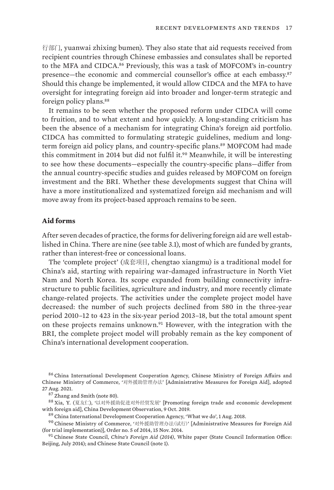<span id="page-28-0"></span>行部门, yuanwai zhixing bumen). They also state that aid requests received from recipient countries through Chinese embassies and consulates shall be reported to the MFA and CIDCA.86 Previously, this was a task of MOFCOM's in-country presence—the economic and commercial counsellor's office at each embassy.<sup>87</sup> Should this change be implemented, it would allow CIDCA and the MFA to have oversight for integrating foreign aid into broader and longer-term strategic and foreign policy plans.<sup>88</sup>

It remains to be seen whether the proposed reform under CIDCA will come to fruition, and to what extent and how quickly. A long-standing criticism has been the absence of a mechanism for integrating China's foreign aid portfolio. CIDCA has committed to formulating strategic guidelines, medium and longterm foreign aid policy plans, and country-specific plans.<sup>89</sup> MOFCOM had made this commitment in 2014 but did not fulfil it.90 Meanwhile, it will be interesting to see how these documents—especially the country-specific plans—differ from the annual country-specific studies and guides released by MOFCOM on foreign investment and the BRI. Whether these developments suggest that China will have a more institutionalized and systematized foreign aid mechanism and will move away from its project-based approach remains to be seen.

#### **Aid forms**

After seven decades of practice, the forms for delivering foreign aid are well established in China. There are nine (see table 3.1), most of which are funded by grants, rather than interest-free or concessional loans.

The 'complete project' (成套项目, chengtao xiangmu) is a traditional model for China's aid, starting with repairing war-damaged infrastructure in North Viet Nam and North Korea. Its scope expanded from building connectivity infrastructure to public facilities, agriculture and industry, and more recently climate change-related projects. The activities under the complete project model have decreased: the number of such projects declined from 580 in the three-year period 2010–12 to 423 in the six-year period 2013–18, but the total amount spent on these projects remains unknown.91 However, with the integration with the BRI, the complete project model will probably remain as the key component of China's international development cooperation.

<sup>86</sup> China International Development Cooperation Agency, Chinese Ministry of Foreign Affairs and Chinese Ministry of Commerce, '对外援助管理办法' [\[Administrative Measures for Foreign Aid](http://www.cidca.gov.cn/2021-08/31/c_1211351312.htm)], adopted 27 Aug. 2021.

<sup>87</sup> Zhang and Smith (note 80).

<sup>88</sup> Xia, Y. (夏友仁), '以对外援助促进对外经贸发展' [\[Promoting foreign trade and economic development](https://cdo.develpress.com/?p=8357)  [with foreign aid\]](https://cdo.develpress.com/?p=8357), China Development Observation, 9 Oct. 2019.

<sup>89</sup> China International Development Cooperation Agency, '[What we do'](http://en.cidca.gov.cn/2018-08/01/c_259525.htm), 1 Aug. 2018.

<sup>90</sup> Chinese Ministry of Commerce, '对外援助管理办法(试行)' [[Administrative Measures for Foreign Aid](http://www.mofcom.gov.cn/article/b/c/201411/20141100799438.shtml)  [\(for trial implementation\)\]](http://www.mofcom.gov.cn/article/b/c/201411/20141100799438.shtml), Order no. 5 of 2014, 15 Nov. 2014.

<sup>91</sup> Chinese State Council, *[China's Foreign Aid \(2014\)](http://english.www.gov.cn/archive/white_paper/2014/08/23/content_281474982986592.htm)*, White paper (State Council Information Office: Beijing, July 2014); and Chinese State Council (note 1).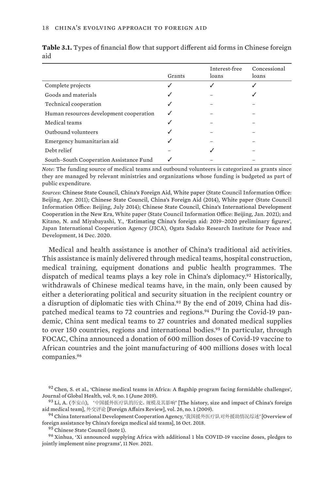|                                         |        | Interest-free | Concessional |
|-----------------------------------------|--------|---------------|--------------|
|                                         | Grants | loans         | loans        |
| Complete projects                       | ✓      |               |              |
| Goods and materials                     | ✓      |               |              |
| Technical cooperation                   | ✓      |               |              |
| Human resources development cooperation | ✓      |               |              |
| Medical teams                           | √      |               |              |
| Outbound volunteers                     | ✓      |               |              |
| Emergency humanitarian aid              | √      |               |              |
| Debt relief                             |        |               |              |
| South-South Cooperation Assistance Fund |        |               |              |

<span id="page-29-0"></span>**Table 3.1.** Types of financial flow that support different aid forms in Chinese foreign aid

*Note*: The funding source of medical teams and outbound volunteers is categorized as grants since they are managed by relevant ministries and organizations whose funding is budgeted as part of public expenditure.

*Sources*: [Chinese State Council, China's Foreign Aid, White paper](http://www.china.org.cn/government/whitepaper/node_7116362.htm) (State Council Information Office: Beijing, Apr. 2011); [Chinese State Council, China's Foreign Aid \(2014\), White paper](http://english.www.gov.cn/archive/white_paper/2014/08/23/content_281474982986592.htm) (State Council Information Office: Beijing, July 2014); [Chinese State Council, China's International Development](http://english.www.gov.cn/atts/stream/files/5ffa69cac6d0cc300eea77af) [Cooperation in the New Era](http://english.www.gov.cn/atts/stream/files/5ffa69cac6d0cc300eea77af), White paper (State Council Information Office: Beijing, Jan. 2021); and Kitano, N. and Miyabayashi, Y., '[Estimating China's foreign aid: 2019–2020 preliminary figures](https://www.jica.go.jp/jica-ri/publication/other/l75nbg000019o0pq-att/Estimating_Chinas_Foreign_Aid_2019-2020.pdf)', Japan International Cooperation Agency (JICA), Ogata Sadako Research Institute for Peace and Development, 14 Dec. 2020.

Medical and health assistance is another of China's traditional aid activities. This assistance is mainly delivered through medical teams, hospital construction, medical training, equipment donations and public health programmes. The dispatch of medical teams plays a key role in China's diplomacy.<sup>92</sup> Historically, withdrawals of Chinese medical teams have, in the main, only been caused by either a deteriorating political and security situation in the recipient country or a disruption of diplomatic ties with China.<sup>93</sup> By the end of 2019, China had dispatched medical teams to 72 countries and regions.<sup>94</sup> During the Covid-19 pandemic, China sent medical teams to 27 countries and donated medical supplies to over 150 countries, regions and international bodies.<sup>95</sup> In particular, through FOCAC, China announced a donation of 600 million doses of Covid-19 vaccine to African countries and the joint manufacturing of 400 millions doses with local companies.<sup>96</sup>

<sup>92</sup> Chen, S. et al., ['Chinese medical teams in Africa: A flagship program facing formidable challenges'](https://doi.org/10.7189/jogh.09.010311), Journal of Global Health, vol. 9, no. 1 (June 2019).

<sup>93</sup> Li, A. (李安山), '中国援外医疗队的历史、规模及其影响' [\[The history, size and impact of China's foreign](https://case.iprcc.org.cn/Home/Index/down1/id/1005.html)  [aid medical team](https://case.iprcc.org.cn/Home/Index/down1/id/1005.html)], 外交评论 [Foreign Affairs Review], vol. 26, no. 1 (2009).

<sup>94</sup> China International Development Cooperation Agency, '我国援外医疗队对外援助情况综述' [[Overview of](http://www.cidca.gov.cn/2018-10/16/c_129972329.htm)  [foreign assistance by China's foreign medical aid teams\]](http://www.cidca.gov.cn/2018-10/16/c_129972329.htm), 16 Oct. 2018.

<sup>&</sup>lt;sup>95</sup> Chinese State Council (note 1).

<sup>96</sup> Xinhua, ['Xi announced supplying Africa with additional 1 bln COVID-19 vaccine doses, pledges to](http://www.news.cn/english/2021-11/30/c_1310341310.htm)  [jointly implement nine programs'](http://www.news.cn/english/2021-11/30/c_1310341310.htm), 11 Nov. 2021.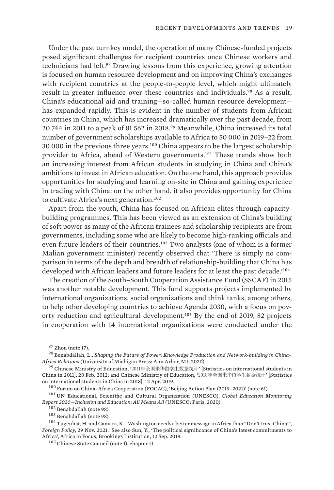Under the past turnkey model, the operation of many Chinese-funded projects posed significant challenges for recipient countries once Chinese workers and technicians had left.97 Drawing lessons from this experience, growing attention is focused on human resource development and on improving China's exchanges with recipient countries at the people-to-people level, which might ultimately result in greater influence over these countries and individuals.<sup>98</sup> As a result, China's educational aid and training—so-called human resource development has expanded rapidly. This is evident in the number of students from African countries in China, which has increased dramatically over the past decade, from 20 744 in 2011 to a peak of 81 562 in 2018.99 Meanwhile, China increased its total number of government scholarships available to Africa to 50 000 in 2019–22 from 30 000 in the previous three years.100 China appears to be the largest scholarship provider to Africa, ahead of Western governments.101 These trends show both an increasing interest from African students in studying in China and China's ambitions to invest in African education. On the one hand, this approach provides opportunities for studying and learning on-site in China and gaining experience in trading with China; on the other hand, it also provides opportunity for China to cultivate Africa's next generation.<sup>102</sup>

Apart from the youth, China has focused on African elites through capacitybuilding programmes. This has been viewed as an extension of China's building of soft power as many of the African trainees and scholarship recipients are from governments, including some who are likely to become high-ranking officials and even future leaders of their countries.<sup>103</sup> Two analysts (one of whom is a former Malian government minister) recently observed that 'There is simply no comparison in terms of the depth and breadth of relationship-building that China has developed with African leaders and future leaders for at least the past decade.'<sup>104</sup>

The creation of the South–South Cooperation Assistance Fund (SSCAF) in 2015 was another notable development. This fund supports projects implemented by international organizations, social organizations and think tanks, among others, to help other developing countries to achieve Agenda 2030, with a focus on poverty reduction and agricultural development.105 By the end of 2019, 82 projects in cooperation with 14 international organizations were conducted under the

<sup>101</sup> UN Educational, Scientific and Cultural Organization (UNESCO), *[Global Education Monitoring](https://unesdoc.unesco.org/in/rest/annotationSVC/DownloadWatermarkedAttachment/attach_import_d3682741-8fe5-4012-98c6-66d2bb13b7f0?_=373718eng.pdf)  [Report 2020—Inclusion and Education: All Means All](https://unesdoc.unesco.org/in/rest/annotationSVC/DownloadWatermarkedAttachment/attach_import_d3682741-8fe5-4012-98c6-66d2bb13b7f0?_=373718eng.pdf)* (UNESCO: Paris, 2020).

<sup>102</sup> Benabdallah (note 98).

<sup>103</sup> Benabdallah (note 98).

<sup>104</sup> Tugenhat, H. and Camara, K., '[Washington needs a better message in Africa than "Don't trust China](https://foreignpolicy.com/2021/11/29/us-china-africa-focac/)"', *Foreign Policy*, 29 Nov. 2021. See also Sun, Y., '[The political significance of China's latest commitments to](https://www.brookings.edu/blog/africa-in-focus/2018/09/12/the-political-significance-of-chinas-latest-commitments-to-africa/)  [Africa'](https://www.brookings.edu/blog/africa-in-focus/2018/09/12/the-political-significance-of-chinas-latest-commitments-to-africa/), Africa in Focus, Brookings Institution, 12 Sep. 2018.

<sup>105</sup> Chinese State Council (note 1), chapter II.

 $97$  Zhou (note 17).

<sup>98</sup> Benabdallah, L., *Shaping the Future of Power: Knowledge Production and Network-building in China– Africa Relations* (University of Michigan Press: Ann Arbor, MI, 2020).

<sup>99</sup> Chinese Ministry of Education, '2011年全国来华留学生数据统计' [\[Statistics on international students in](http://www.moe.gov.cn/jyb_xwfb/gzdt_gzdt/s5987/201202/t20120228_131117.html)  [China in 2011\]](http://www.moe.gov.cn/jyb_xwfb/gzdt_gzdt/s5987/201202/t20120228_131117.html), 28 Feb. 2012; and Chinese Ministry of Education, '2018年全国来华留学生数据统计' [\[Statistics](http://www.moe.gov.cn/jyb_xwfb/gzdt_gzdt/s5987/201904/t20190412_377692.html)  [on international students in China in 2018](http://www.moe.gov.cn/jyb_xwfb/gzdt_gzdt/s5987/201904/t20190412_377692.html)], 12 Apr. 2019.

<sup>100</sup> Forum on China–Africa Cooperation (FOCAC), 'Beijing Action Plan (2019–2021)' (note 61).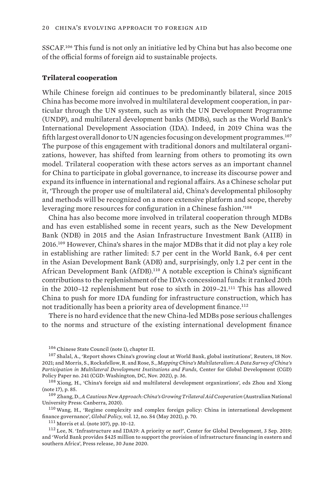<span id="page-31-0"></span>SSCAF.106 This fund is not only an initiative led by China but has also become one of the official forms of foreign aid to sustainable projects.

#### **Trilateral cooperation**

While Chinese foreign aid continues to be predominantly bilateral, since 2015 China has become more involved in multilateral development cooperation, in particular through the UN system, such as with the UN Development Programme (UNDP), and multilateral development banks (MDBs), such as the World Bank's International Development Association (IDA). Indeed, in 2019 China was the fifth largest overall donor to UN agencies focusing on development programmes.<sup>107</sup> The purpose of this engagement with traditional donors and multilateral organizations, however, has shifted from learning from others to promoting its own model. Trilateral cooperation with these actors serves as an important channel for China to participate in global governance, to increase its discourse power and expand its influence in international and regional affairs. As a Chinese scholar put it, 'Through the proper use of multilateral aid, China's developmental philosophy and methods will be recognized on a more extensive platform and scope, thereby leveraging more resources for configuration in a Chinese fashion.'<sup>108</sup>

China has also become more involved in trilateral cooperation through MDBs and has even established some in recent years, such as the New Development Bank (NDB) in 2015 and the Asian Infrastructure Investment Bank (AIIB) in 2016.109 However, China's shares in the major MDBs that it did not play a key role in establishing are rather limited: 5.7 per cent in the World Bank, 6.4 per cent in the Asian Development Bank (ADB) and, surprisingly, only 1.2 per cent in the African Development Bank (AfDB).110 A notable exception is China's significant contributions to the replenishment of the IDA's concessional funds: it ranked 20th in the 2010–12 replenishment but rose to sixth in 2019–21.111 This has allowed China to push for more IDA funding for infrastructure construction, which has not traditionally has been a priority area of development finance.<sup>112</sup>

There is no hard evidence that the new China-led MDBs pose serious challenges to the norms and structure of the existing international development finance

<sup>106</sup> Chinese State Council (note 1), chapter II.

<sup>107</sup> Shalal, A., '[Report shows China's growing clout at World Bank, global institutions'](https://www.reuters.com/business/finance/report-shows-chinas-growing-clout-world-bank-global-institutions-2021-11-18/), Reuters, 18 Nov. 2021; and Morris, S., Rockafellow, R. and Rose, S., *[Mapping China's Multilateralism: A Data Survey of China's](https://www.cgdev.org/sites/default/files/mapping-chinas-multilateralism-data-survey.pdf)  [Participation in Multilateral Development Institutions and Funds](https://www.cgdev.org/sites/default/files/mapping-chinas-multilateralism-data-survey.pdf)*, Center for Global Development (CGD) Policy Paper no. 241 (CGD: Washington, DC, Nov. 2021), p. 36.

<sup>108</sup> Xiong, H., '[China's foreign aid and multilateral development organizations'](https://doi.org/10.1007/978-981-10-2128-2_2), eds Zhou and Xiong (note 17), p. 85.

<sup>109</sup> Zhang, D., *[A Cautious New Approach: China's Growing Trilateral Aid Cooperation](https://doi.org/10.22459/CNA.2020)* (Australian National University Press: Canberra, 2020).

<sup>110</sup> Wang, H., '[Regime complexity and complex foreign policy: China in international development](https://doi.org/10.1111/1758-5899.12935)  [finance governance](https://doi.org/10.1111/1758-5899.12935)', *Global Policy*, vol. 12, no. S4 (May 2021), p. 70.

<sup>111</sup> Morris et al. (note 107), pp. 10–12.

<sup>112</sup> Lee, N. ['Infrastructure and IDA19: A priority or not?](https://www.cgdev.org/blog/infrastructure-and-ida19-priority-or-not)', Center for Global Development, 3 Sep. 2019; and '[World Bank provides \\$425 million to support the provision of infrastructure financing in eastern and](https://www.worldbank.org/en/news/press-release/2020/06/30/world-bank-provides-425-million-to-support-the-provision-of-infrastructure-financing-in-eastern-and-southern-africa)  [southern Africa](https://www.worldbank.org/en/news/press-release/2020/06/30/world-bank-provides-425-million-to-support-the-provision-of-infrastructure-financing-in-eastern-and-southern-africa)', Press release, 30 June 2020.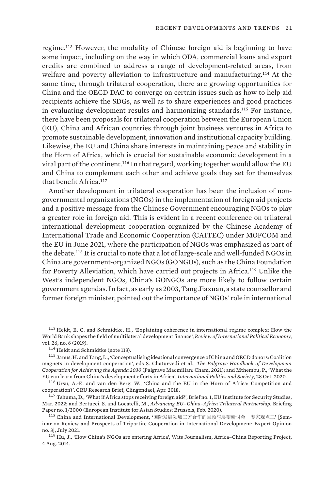regime.113 However, the modality of Chinese foreign aid is beginning to have some impact, including on the way in which ODA, commercial loans and export credits are combined to address a range of development-related areas, from welfare and poverty alleviation to infrastructure and manufacturing.<sup>114</sup> At the same time, through trilateral cooperation, there are growing opportunities for China and the OECD DAC to converge on certain issues such as how to help aid recipients achieve the SDGs, as well as to share experiences and good practices in evaluating development results and harmonizing standards.115 For instance, there have been proposals for trilateral cooperation between the European Union (EU), China and African countries through joint business ventures in Africa to promote sustainable development, innovation and institutional capacity building. Likewise, the EU and China share interests in maintaining peace and stability in the Horn of Africa, which is crucial for sustainable economic development in a vital part of the continent.116 In that regard, working together would allow the EU and China to complement each other and achieve goals they set for themselves that benefit Africa.<sup>117</sup>

Another development in trilateral cooperation has been the inclusion of nongovernmental organizations (NGOs) in the implementation of foreign aid projects and a positive message from the Chinese Government encouraging NGOs to play a greater role in foreign aid. This is evident in a recent conference on trilateral international development cooperation organized by the Chinese Academy of International Trade and Economic Cooperation (CAITEC) under MOFCOM and the EU in June 2021, where the participation of NGOs was emphasized as part of the debate.118 It is crucial to note that a lot of large-scale and well-funded NGOs in China are government-organized NGOs (GONGOs), such as the China Foundation for Poverty Alleviation, which have carried out projects in Africa.119 Unlike the West's independent NGOs, China's GONGOs are more likely to follow certain government agendas. In fact, as early as 2003, Tang Jiaxuan, a state counsellor and former foreign minister, pointed out the importance of NGOs' role in international

<sup>113</sup> Heldt, E. C. and Schmidtke, H., '[Explaining coherence in international regime complex: How the](https://doi.org/10.1080/09692290.2019.1631205)  [World Bank shapes the field of multilateral development finance](https://doi.org/10.1080/09692290.2019.1631205)', *Review of International Political Economy*, vol. 26, no. 6 (2019).

<sup>114</sup> Heldt and Schmidtke (note 113).

<sup>115</sup> Janus, H. and Tang, L., '[Conceptualising ideational convergence of China and OECD donors: Coalition](https://doi.org/10.1007/978-3-030-57938-8_10)  [magnets in development cooperation](https://doi.org/10.1007/978-3-030-57938-8_10)', eds S. Chaturvedi et al., *The Palgrave Handbook of Development Cooperation for Achieving the Agenda 2030* (Palgrave Macmillan: Cham, 2021); and Mthembu, P., '[What the](https://www.ips-journal.eu/regions/africa/what-the-eu-can-learn-from-chinas-development-efforts-in-africa-4746/)  [EU can learn from China's development efforts in Africa'](https://www.ips-journal.eu/regions/africa/what-the-eu-can-learn-from-chinas-development-efforts-in-africa-4746/), *International Politics and Society*, 28 Oct. 2020.

<sup>116</sup> Ursu, A.-E. and van den Berg, W., '[China and the EU in the Horn of Africa: Competition and](https://www.clingendael.org/sites/default/files/2018-04/PB_China_and_the_EU_in_the_Horn_of_Africa.pdf)  [cooperation?'](https://www.clingendael.org/sites/default/files/2018-04/PB_China_and_the_EU_in_the_Horn_of_Africa.pdf), CRU Research Brief, Clingendael, Apr. 2018.

<sup>117</sup> Tshuma, D., '[What if Africa stops receiving foreign aid?'](https://www.iss.europa.eu/sites/default/files/EUISSFiles/Brief_1_Imagine Africa 3.pdf), Brief no. 1, EU Institute for Security Studies, Mar. 2022; and Bertucci, S. and Locatelli, M., *[Advancing EU–China–Africa Trilateral Partnership,](https://www.eias.org/wp-content/uploads/2019/07/SaraMargherita_A-EU-CN-2.pdf)* Briefing Paper no. 1/2000 (European Institute for Asian Studies: Brussels, Feb. 2020).

<sup>118</sup> China and International Development, '国际发展领域三方合作的回顾与展望研讨会—专家观点三' [[Sem](https://caidev.org.cn/news/1139)[inar on Review and Prospects of Tripartite Cooperation in International Development: Expert Opinion](https://caidev.org.cn/news/1139)  [no. 3](https://caidev.org.cn/news/1139)], July 2021.

<sup>119</sup> Hu, J., '[How China's NGOs are entering Africa](https://africachinareporting.com/how-chinas-ngos-are-entering-africa/)', Wits Journalism, Africa–China Reporting Project, 4 Aug. 2014.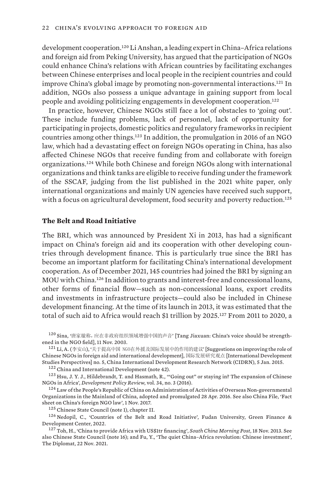<span id="page-33-0"></span>development cooperation.<sup>120</sup> Li Anshan, a leading expert in China-Africa relations and foreign aid from Peking University, has argued that the participation of NGOs could enhance China's relations with African countries by facilitating exchanges between Chinese enterprises and local people in the recipient countries and could improve China's global image by promoting non-governmental interactions.121 In addition, NGOs also possess a unique advantage in gaining support from local people and avoiding politicizing engagements in development cooperation.<sup>122</sup>

In practice, however, Chinese NGOs still face a lot of obstacles to 'going out'. These include funding problems, lack of personnel, lack of opportunity for participating in projects, domestic politics and regulatory frameworks in recipient countries among other things.123 In addition, the promulgation in 2016 of an NGO law, which had a devastating effect on foreign NGOs operating in China, has also affected Chinese NGOs that receive funding from and collaborate with foreign organizations.124 While both Chinese and foreign NGOs along with international organizations and think tanks are eligible to receive funding under the framework of the SSCAF, judging from the list published in the 2021 white paper, only international organizations and mainly UN agencies have received such support, with a focus on agricultural development, food security and poverty reduction.<sup>125</sup>

#### **The Belt and Road Initiative**

The BRI, which was announced by President Xi in 2013, has had a significant impact on China's foreign aid and its cooperation with other developing countries through development finance. This is particularly true since the BRI has become an important platform for facilitating China's international development cooperation. As of December 2021, 145 countries had joined the BRI by signing an MOU with China.126 In addition to grants and interest-free and concessional loans, other forms of financial flow—such as non-concessional loans, export credits and investments in infrastructure projects—could also be included in Chinese development financing. At the time of its launch in 2013, it was estimated that the total of such aid to Africa would reach \$1 trillion by 2025.<sup>127</sup> From 2011 to 2020, a

120 Sina, '唐家璇称, 应在非政府组织领域增强中国的声音' [\[Tang Jiaxuan: China's voice should be strength](http://news.sina.com.cn/c/2003-11-11/19561099461s.shtml)[ened in the NGO field](http://news.sina.com.cn/c/2003-11-11/19561099461s.shtml)], 11 Nov. 2003.

<sup>121</sup> Li, A. (李安山), '关于提高中国 NGO在外援及国际发展中的作用的建议' [Suggestions on improving the role of [Chinese NGOs in foreign aid and international development](http://rcid.cau.edu.cn/module/download/downfile.jsp?classid=0&filename=1502091336528815337.pdf)], 国际发展研究观点 [International Development Studies Perspectives] no. 5, China International Development Research Network (CIDRN), 5 Jan. 2015.

<sup>122</sup> China and International Development (note 42).

<sup>123</sup> Hsu, J. Y. J., Hildebrandt, T. and Hasmath, R., '"[Going out" or staying in? The expansion of Chinese](https://doi.org/10.1111/dpr.12157)  [NGOs in Africa](https://doi.org/10.1111/dpr.12157)', *Development Policy Review*, vol. 34, no. 3 (2016).

 $124$  Law of the People's Republic of China on Administration of Activities of Overseas Non-governmental [Organizations in the Mainland of China,](https://ngo.mps.gov.cn/ngo/portal/view.do?p_articleId=21833&p_leftmenu=4&p_topmenu=2) adopted and promulgated 28 Apr. 2016. See also China File, '[Fact](https://www.chinafile.com/ngo/latest/fact-sheet-chinas-foreign-ngo-law)  [sheet on China's foreign NGO law](https://www.chinafile.com/ngo/latest/fact-sheet-chinas-foreign-ngo-law)', 1 Nov. 2017.

<sup>125</sup> Chinese State Council (note 1), chapter II.

 $126$  Nedopil, C., '[Countries of the Belt and Road Initiative](https://greenfdc.org/countries-of-the-belt-and-road-initiative-bri/)', Fudan University, Green Finance & Development Center, 2022.

<sup>127</sup> Toh, H., ['China to provide Africa with US\\$1tr financing](https://www.scmp.com/business/banking-finance/article/1358902/china-provide-africa-us1tr-financing)', *South China Morning Post*, 18 Nov. 2013. See also Chinese State Council (note 16); and Fu, Y., '[The quiet China–Africa revolution: Chinese investment'](https://thediplomat.com/2021/11/the-quiet-china-africa-revolution-chinese-investment/), The Diplomat, 22 Nov. 2021.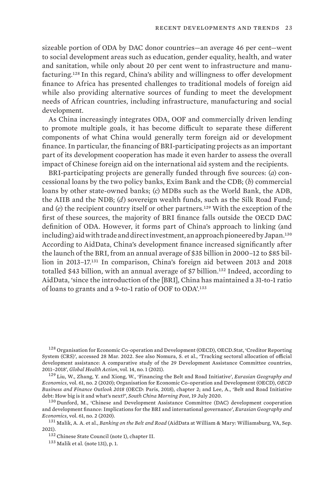sizeable portion of ODA by DAC donor countries—an average 46 per cent—went to social development areas such as education, gender equality, health, and water and sanitation, while only about 20 per cent went to infrastructure and manufacturing.<sup>128</sup> In this regard, China's ability and willingness to offer development finance to Africa has presented challenges to traditional models of foreign aid while also providing alternative sources of funding to meet the development needs of African countries, including infrastructure, manufacturing and social development.

As China increasingly integrates ODA, OOF and commercially driven lending to promote multiple goals, it has become difficult to separate these different components of what China would generally term foreign aid or development finance. In particular, the financing of BRI-participating projects as an important part of its development cooperation has made it even harder to assess the overall impact of Chinese foreign aid on the international aid system and the recipients.

BRI-participating projects are generally funded through five sources: (*a*) concessional loans by the two policy banks, Exim Bank and the CDB; (*b*) commercial loans by other state-owned banks; (*c*) MDBs such as the World Bank, the ADB, the AIIB and the NDB; (*d*) sovereign wealth funds, such as the Silk Road Fund; and (*e*) the recipient country itself or other partners.<sup>129</sup> With the exception of the first of these sources, the majority of BRI finance falls outside the OECD DAC definition of ODA. However, it forms part of China's approach to linking (and including) aid with trade and direct investment, an approach pioneered by Japan.<sup>130</sup> According to AidData, China's development finance increased significantly after the launch of the BRI, from an annual average of \$35 billion in 2000–12 to \$85 billion in 2013–17.131 In comparison, China's foreign aid between 2013 and 2018 totalled \$43 billion, with an annual average of \$7 billion.132 Indeed, according to AidData, 'since the introduction of the [BRI], China has maintained a 31-to-1 ratio of loans to grants and a 9-to-1 ratio of OOF to ODA'.<sup>133</sup>

<sup>128</sup> Organisation for Economic Co-operation and Development (OECD), OECD.Stat, 'Creditor Reporting [System \(CRS\)'](https://stats.oecd.org/Index.aspx?DataSetCode=crs1), accessed 28 Mar. 2022. See also Nomura, S. et al., '[Tracking sectoral allocation of official](https://doi.org/10.1080/16549716.2021.1903222)  [development assistance: A comparative study of the 29 Development Assistance Committee countries,](https://doi.org/10.1080/16549716.2021.1903222)  [2011–2018](https://doi.org/10.1080/16549716.2021.1903222)', *Global Health Action*, vol. 14, no. 1 (2021).

<sup>129</sup> Liu, W., Zhang, Y. and Xiong, W., '[Financing the Belt and Road Initiative](https://doi.org/10.1080/15387216.2020.1716822)', *Eurasian Geography and Economics*, vol. 61, no. 2 (2020); Organisation for Economic Co-operation and Development (OECD), *[OECD](https://doi.org/10.1787/bus_fin_out-2018-6-en)  [Business and Finance Outlook 2018](https://doi.org/10.1787/bus_fin_out-2018-6-en)* (OECD: Paris, 2018), chapter 2; and Lee, A., '[Belt and Road Initiative](https://www.scmp.com/economy/china-economy/article/3093218/belt-and-road-initiative-debt-how-big-it-and-whats-next)  [debt: How big is it and what's next?](https://www.scmp.com/economy/china-economy/article/3093218/belt-and-road-initiative-debt-how-big-it-and-whats-next)', *South China Morning Post*, 19 July 2020.

<sup>130</sup> Dunford, M., 'Chinese and Development Assistance Committee (DAC) development cooperation [and development finance: Implications for the BRI and international governance'](https://doi.org/10.1080/15387216.2020.1716821), *Eurasian Geography and Economics*, vol. 61, no. 2 (2020).

<sup>131</sup> Malik, A. A. et al., *[Banking on the Belt and Road](https://www.aiddata.org/publications/banking-on-the-belt-and-road)* (AidData at William & Mary: Williamsburg, VA, Sep. 2021).

<sup>132</sup> Chinese State Council (note 1), chapter II.

<sup>133</sup> Malik et al. (note 131), p. 1.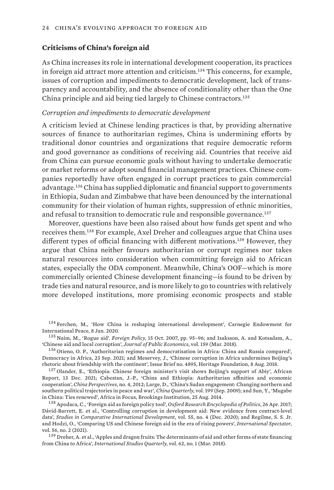### <span id="page-35-0"></span>**Criticisms of China's foreign aid**

As China increases its role in international development cooperation, its practices in foreign aid attract more attention and criticism.134 This concerns, for example, issues of corruption and impediments to democratic development, lack of transparency and accountability, and the absence of conditionality other than the One China principle and aid being tied largely to Chinese contractors.<sup>135</sup>

#### *Corruption and impediments to democratic development*

A criticism levied at Chinese lending practices is that, by providing alternative sources of finance to authoritarian regimes, China is undermining efforts by traditional donor countries and organizations that require democratic reform and good governance as conditions of receiving aid. Countries that receive aid from China can pursue economic goals without having to undertake democratic or market reforms or adopt sound financial management practices. Chinese companies reportedly have often engaged in corrupt practices to gain commercial advantage.136 China has supplied diplomatic and financial support to governments in Ethiopia, Sudan and Zimbabwe that have been denounced by the international community for their violation of human rights, suppression of ethnic minorities, and refusal to transition to democratic rule and responsible governance.<sup>137</sup>

Moreover, questions have been also raised about how funds get spent and who receives them.138 For example, Axel Dreher and colleagues argue that China uses different types of official financing with different motivations.139 However, they argue that China neither favours authoritarian or corrupt regimes nor takes natural resources into consideration when committing foreign aid to African states, especially the ODA component. Meanwhile, China's OOF—which is more commercially oriented Chinese development financing—is found to be driven by trade ties and natural resource, and is more likely to go to countries with relatively more developed institutions, more promising economic prospects and stable

<sup>134</sup> Ferchen, M., '[How China is reshaping international development](https://carnegieendowment.org/2020/01/08/how-china-is-reshaping-international-development-pub-80703)', Carnegie Endowment for International Peace, 8 Jan. 2020.

<sup>135</sup> Naím, M., 'Rogue aid'. *Foreign Policy*, 15 Oct. 2007, pp. 95–96; and Isaksson, A. and Kotsadam, A., '[Chinese aid and local corruption'](https://doi.org/10.1016/j.jpubeco.2018.01.002), *Journal of Public Economics*, vol. 159 (Mar. 2018).

<sup>136</sup> Otieno, O. P., ['Authoritarian regimes and democratisation in Africa: China and Russia compared'](https://democracyinafrica.org/authoritarian-regimes-and-democratisation-in-africa-china-and-russia-compared/), Democracy in Africa, 23 Sep. 2021; and Meservey, J., '[Chinese corruption in Africa undermines Beijing's](https://www.heritage.org/sites/default/files/2018-08/IB4895_0.pdf)  [rhetoric about friendship with the continent](https://www.heritage.org/sites/default/files/2018-08/IB4895_0.pdf)', Issue Brief no. 4895, Heritage Foundation, 8 Aug. 2018.

<sup>137</sup> Olander, E., ['Ethiopia: Chinese foreign minister's visit shows Beijing's support of Abiy](https://www.theafricareport.com/155619/ethiopia-chinese-foreign-ministers-visit-shows-beijings-support-for-abiy/)', African Report, 13 Dec. 2021; Cabestan, J.-P., '[China and Ethiopia: Authoritarian affinities and economic](https://doi.org/10.4000/chinaperspectives.6041)  [cooperation'](https://doi.org/10.4000/chinaperspectives.6041), *China Perspectives*, no. 4, 2012; Large, D., ['China's Sudan engagement: Changing northern and](https://doi.org/10.1017/S0305741009990129)  [southern political trajectories in peace and war](https://doi.org/10.1017/S0305741009990129)', *China Quarterly*, vol. 199 (Sep. 2009); and Sun, Y., '[Mugabe](https://www.brookings.edu/blog/africa-in-focus/2014/08/25/mugabe-in-china-ties-renewed/)  [in China: Ties renewed](https://www.brookings.edu/blog/africa-in-focus/2014/08/25/mugabe-in-china-ties-renewed/)', Africa in Focus, Brookings Institution, 25 Aug. 2014.

<sup>138</sup> Apodaca, C., '[Foreign aid as foreign policy tool'](https://doi.org/10.1093/acrefore/9780190228637.013.332), *Oxford Research Encyclopedia of Politics*, 26 Apr. 2017; Dávid-Barrett, E. et al., '[Controlling corruption in development aid: New evidence from contract-level](https://doi.org/10.1007/s12116-020-09315-4)  [data](https://doi.org/10.1007/s12116-020-09315-4)', *Studies in Comparative International Development*, vol. 55, no. 4 (Dec. 2020); and Regilme, S. S. Jr. and Hodzi, O., '[Comparing US and Chinese foreign aid in the era of rising powers'](https://doi.org/10.1080/03932729.2020.1855904), *International Spectator*, vol. 56, no. 2 (2021).

<sup>139</sup> Dreher, A. et al., '[Apples and dragon fruits: The determinants of aid and other forms of state financing](https://doi.org/10.1093/isq/sqx052)  [from China to Africa',](https://doi.org/10.1093/isq/sqx052) *International Studies Quarterly*, vol. 62, no. 1 (Mar. 2018).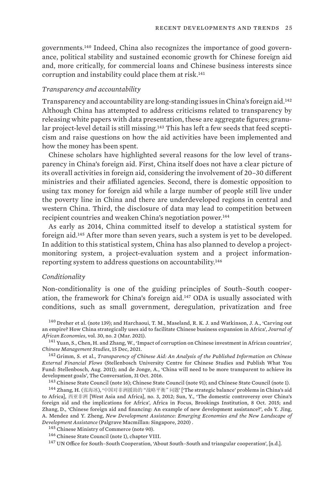governments.140 Indeed, China also recognizes the importance of good governance, political stability and sustained economic growth for Chinese foreign aid and, more critically, for commercial loans and Chinese business interests since corruption and instability could place them at risk.<sup>141</sup>

### *Transparency and accountability*

Transparency and accountability are long-standing issues in China's foreign aid.<sup>142</sup> Although China has attempted to address criticisms related to transparency by releasing white papers with data presentation, these are aggregate figures; granular project-level detail is still missing.143 This has left a few seeds that feed scepticism and raise questions on how the aid activities have been implemented and how the money has been spent.

Chinese scholars have highlighted several reasons for the low level of transparency in China's foreign aid. First, China itself does not have a clear picture of its overall activities in foreign aid, considering the involvement of 20–30 different ministries and their affiliated agencies. Second, there is domestic opposition to using tax money for foreign aid while a large number of people still live under the poverty line in China and there are underdeveloped regions in central and western China. Third, the disclosure of data may lead to competition between recipient countries and weaken China's negotiation power.<sup>144</sup>

As early as 2014, China committed itself to develop a statistical system for foreign aid.145 After more than seven years, such a system is yet to be developed. In addition to this statistical system, China has also planned to develop a projectmonitoring system, a project-evaluation system and a project informationreporting system to address questions on accountability.<sup>146</sup>

#### *Conditionality*

Non-conditionality is one of the guiding principles of South–South cooperation, the framework for China's foreign aid.147 ODA is usually associated with conditions, such as small government, deregulation, privatization and free

<sup>140</sup> Dreher et al. (note 139); and Harchaoui, T. M., Maseland, R. K. J. and Watkinson, J. A., ['Carving out](https://doi.org/10.1093/jae/ejaa006)  [an empire? How China strategically uses aid to facilitate Chinese business expansion in Africa'](https://doi.org/10.1093/jae/ejaa006), *Journal of African Economies*, vol. 30, no. 2 (Mar. 2021).

<sup>141</sup> Yuan, S., Chen, H. and Zhang, W., ['Impact of corruption on Chinese investment in African countries'](https://doi.org/10.1108/CMS-12-2020-0576), *Chinese Management Studies*, 15 Dec, 2021.

<sup>142</sup> Grimm, S. et al., *[Transparency of Chinese Aid: An Analysis of the Published Information on Chinese](http://www0.sun.ac.za/ccs/wp-content/uploads/2011/09/Transparency-of-Chinese-Aid_final-for-print.pdf)  [External Financial Flows](http://www0.sun.ac.za/ccs/wp-content/uploads/2011/09/Transparency-of-Chinese-Aid_final-for-print.pdf)* (Stellenbosch University Centre for Chinese Studies and Publish What You Fund: Stellenbosch, Aug. 2011); and de Jonge, A., '[China will need to be more transparent to achieve its](https://theconversation.com/china-will-need-to-be-more-transparent-to-achieve-its-development-goals-67464)  [development goals'](https://theconversation.com/china-will-need-to-be-more-transparent-to-achieve-its-development-goals-67464), The Conversation, 31 Oct. 2016.

<sup>143</sup> Chinese State Council (note 16); Chinese State Council (note 91); and Chinese State Council (note 1).

<sup>144</sup> Zhang, H. (张海冰), '中国对非洲援助的 "战略平衡" 问题' ['The strategic balance' problems in China's aid [to Africa\]](http://www.xyfzqk.org/UploadFile/Issue/zusxdk0a.pdf), 西亚非洲 [West Asia and Africa], no. 3, 2012; Sun, Y., '[The domestic controversy over China's](https://www.brookings.edu/blog/africa-in-focus/2015/10/08/the-domestic-controversy-over-chinas-foreign-aid-and-the-implications-for-africa/)  [foreign aid and the implications for Africa'](https://www.brookings.edu/blog/africa-in-focus/2015/10/08/the-domestic-controversy-over-chinas-foreign-aid-and-the-implications-for-africa/), Africa in Focus, Brookings Institution, 8 Oct. 2015; and Zhang, D., ['Chinese foreign aid and financing: An example of new development assistance?'](https://doi.org/10.1007/978-981-13-7232-2_10), eds Y. Jing, A. Mendez and Y. Zheng, *New Development Assistance: Emerging Economies and the New Landscape of Development Assistance* (Palgrave Macmillan: Singapore, 2020) .

<sup>145</sup> Chinese Ministry of Commerce (note 90).

<sup>146</sup> Chinese State Council (note 1), chapter VIII.

<sup>147</sup> UN Office for South-South Cooperation, 'About South-South and triangular cooperation', [n.d.].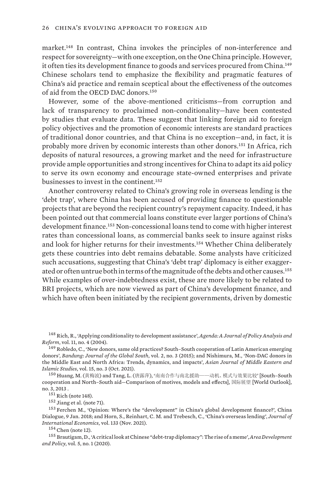market.148 In contrast, China invokes the principles of non-interference and respect for sovereignty—with one exception, on the One China principle. However, it often ties its development finance to goods and services procured from China.<sup>149</sup> Chinese scholars tend to emphasize the flexibility and pragmatic features of China's aid practice and remain sceptical about the effectiveness of the outcomes of aid from the OECD DAC donors.<sup>150</sup>

However, some of the above-mentioned criticisms—from corruption and lack of transparency to proclaimed non-conditionality—have been contested by studies that evaluate data. These suggest that linking foreign aid to foreign policy objectives and the promotion of economic interests are standard practices of traditional donor countries, and that China is no exception—and, in fact, it is probably more driven by economic interests than other donors.151 In Africa, rich deposits of natural resources, a growing market and the need for infrastructure provide ample opportunities and strong incentives for China to adapt its aid policy to serve its own economy and encourage state-owned enterprises and private businesses to invest in the continent.<sup>152</sup>

Another controversy related to China's growing role in overseas lending is the 'debt trap', where China has been accused of providing finance to questionable projects that are beyond the recipient country's repayment capacity. Indeed, it has been pointed out that commercial loans constitute ever larger portions of China's development finance.153 Non-concessional loans tend to come with higher interest rates than concessional loans, as commercial banks seek to insure against risks and look for higher returns for their investments.154 Whether China deliberately gets these countries into debt remains debatable. Some analysts have criticized such accusations, suggesting that China's 'debt trap' diplomacy is either exaggerated or often untrue both in terms of the magnitude of the debts and other causes.<sup>155</sup> While examples of over-indebtedness exist, these are more likely to be related to BRI projects, which are now viewed as part of China's development finance, and which have often been initiated by the recipient governments, driven by domestic

<sup>148</sup> Rich, R., ['Applying conditionality to development assistance'](http://doi.org/10.22459/AG.11.04.2004.03), *Agenda: A Journal of Policy Analysis and Reform*, vol. 11, no. 4 (2004).

<sup>149</sup> Robledo, C., 'New donors, same old practices? South-South cooperation of Latin American emerging [donors'](https://doi.org/10.1186/s40728-014-0008-0), *Bandung: Journal of the Global South*, vol. 2, no. 3 (2015); and Nishimura, M., ['Non-DAC donors in](https://doi.org/10.1080/25765949.2021.1985293)  [the Middle East and North Africa: Trends, dynamics, and impacts](https://doi.org/10.1080/25765949.2021.1985293)', *Asian Journal of Middle Eastern and Islamic Studies*, vol. 15, no. 3 (Oct. 2021).

<sup>150</sup> Huang, M. (黄梅波) and Tang, L. (唐露萍), '南南合作与南北援助——动机、模式与效果比较' [[South–South](https://dspace.xmu.edu.cn/handle/2288/112787)  [cooperation and North–South aid—Comparison of motives, models and effects](https://dspace.xmu.edu.cn/handle/2288/112787)], 国际展望 [World Outlook], no. 3, 2013 .

 $151$  Rich (note 148).

<sup>152</sup> Jiang et al. (note 71).

<sup>153</sup> Ferchen M., ['Opinion: Where's the "development" in China's global development finance?](https://chinadialogue.net/en/business/10340-opinion-where-s-the-development-in-china-s-global-development-finance/)', China Dialogue, 9 Jan. 2018; and Horn, S., Reinhart, C. M. and Trebesch, C., '[China's overseas lending](https://doi.org/10.1016/j.jinteco.2021.103539)', *Journal of International Economics*, vol. 133 (Nov. 2021).

 $154$  Chen (note 12).

<sup>155</sup> Brautigam, D., ['A critical look at Chinese "debt-trap diplomacy": The rise of a meme'](https://doi.org/10.1080/23792949.2019.1689828), *Area Development and Policy*, vol. 5, no. 1 (2020).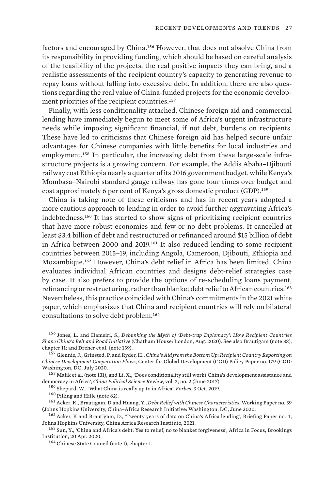factors and encouraged by China.156 However, that does not absolve China from its responsibility in providing funding, which should be based on careful analysis of the feasibility of the projects, the real positive impacts they can bring, and a realistic assessments of the recipient country's capacity to generating revenue to repay loans without falling into excessive debt. In addition, there are also questions regarding the real value of China-funded projects for the economic development priorities of the recipient countries.<sup>157</sup>

Finally, with less conditionality attached, Chinese foreign aid and commercial lending have immediately begun to meet some of Africa's urgent infrastructure needs while imposing significant financial, if not debt, burdens on recipients. These have led to criticisms that Chinese foreign aid has helped secure unfair advantages for Chinese companies with little benefits for local industries and employment.158 In particular, the increasing debt from these large-scale infrastructure projects is a growing concern. For example, the Addis Ababa–Djibouti railway cost Ethiopia nearly a quarter of its 2016 government budget, while Kenya's Mombasa–Nairobi standard gauge railway has gone four times over budget and cost approximately 6 per cent of Kenya's gross domestic product (GDP).<sup>159</sup>

China is taking note of these criticisms and has in recent years adopted a more cautious approach to lending in order to avoid further aggravating Africa's indebtedness.160 It has started to show signs of prioritizing recipient countries that have more robust economies and few or no debt problems. It cancelled at least \$3.4 billion of debt and restructured or refinanced around \$15 billion of debt in Africa between 2000 and 2019.161 It also reduced lending to some recipient countries between 2015–19, including Angola, Cameroon, Djibouti, Ethiopia and Mozambique.162 However, China's debt relief in Africa has been limited. China evaluates individual African countries and designs debt-relief strategies case by case. It also prefers to provide the options of re-scheduling loans payment, refinancing or restructuring, rather than blanket debt relief to African countries.<sup>163</sup> Nevertheless, this practice coincided with China's commitments in the 2021 white paper, which emphasizes that China and recipient countries will rely on bilateral consultations to solve debt problem.<sup>164</sup>

<sup>156</sup> Jones, L. and Hameiri, S., *[Debunking the Myth of 'Debt-trap Diplomacy': How Recipient Countries](https://www.chathamhouse.org/sites/default/files/2020-08-25-debunking-myth-debt-trap-diplomacy-jones-hameiri.pdf)  [Shape China's Belt and Road Initiative](https://www.chathamhouse.org/sites/default/files/2020-08-25-debunking-myth-debt-trap-diplomacy-jones-hameiri.pdf)* (Chatham House: London, Aug. 2020). See also Brautigam (note 38), chapter 11; and Dreher et al. (note 139).

<sup>157</sup> Glennie, J., Grinsted, P. and Ryder, H., *[China's Aid from the Bottom Up: Recipient Country Reporting on](https://www.cgdev.org/sites/default/files/chinas-aid-bottom-recipient-country-reporting-chinese-development-cooperation-flows.pdf)  [Chinese Development Cooperation Flows](https://www.cgdev.org/sites/default/files/chinas-aid-bottom-recipient-country-reporting-chinese-development-cooperation-flows.pdf)*, Center for Global Development (CGD) Policy Paper no. 179 (CGD: Washington, DC, July 2020.

 $^{158}$  Malik et al. (note 131); and Li, X., 'Does conditionality still work? China's development assistance and [democracy in Africa'](https://doi.org/10.1007/s41111-017-0050-6), *China Political Science Review*, vol. 2, no. 2 (June 2017).

<sup>159</sup> Shepard, W., '[What China is really up to in Africa](https://www.forbes.com/sites/wadeshepard/2019/10/03/what-china-is-really-up-to-in-africa/)', *Forbes*, 3 Oct. 2019.

<sup>160</sup> Pilling and Hille (note 62).

<sup>161</sup> Acker, K., Brautigam, D and Huang, Y., *[Debt Relief with Chinese Characteristics](https://static1.squarespace.com/static/5652847de4b033f56d2bdc29/t/62130490b56fca3b5d703df8/1645413600581/WP-39-Acker-Brautigam-Huang-Debt-Relief-V5.pdf)*, Working Paper no. 39 (Johns Hopkins University, China–Africa Research Initiative: Washington, DC, June 2020.

<sup>162</sup> Acker, K and Brautigam, D., '[Twenty years of data on China's Africa lending'](https://www.bu.edu/gdp/files/2021/03/CARI-GDPC-Policy-Brief-China-Africa-Lending.pdf), Briefing Paper no. 4, Johns Hopkins University, China Africa Research Institute, 2021.

<sup>163</sup> Sun, Y., '[China and Africa's debt: Yes to relief, no to blanket forgiveness'](https://www.brookings.edu/blog/africa-in-focus/2020/04/20/china-and-africas-debt-yes-to-relief-no-to-blanket-forgiveness/), Africa in Focus, Brookings Institution, 20 Apr. 2020.

<sup>164</sup> Chinese State Council (note 1), chapter I.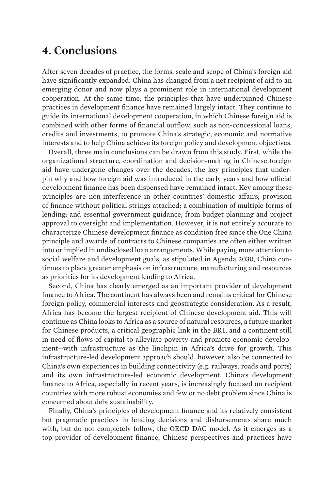### <span id="page-39-0"></span>**4. Conclusions**

After seven decades of practice, the forms, scale and scope of China's foreign aid have significantly expanded. China has changed from a net recipient of aid to an emerging donor and now plays a prominent role in international development cooperation. At the same time, the principles that have underpinned Chinese practices in development finance have remained largely intact. They continue to guide its international development cooperation, in which Chinese foreign aid is combined with other forms of financial outflow, such as non-concessional loans, credits and investments, to promote China's strategic, economic and normative interests and to help China achieve its foreign policy and development objectives.

Overall, three main conclusions can be drawn from this study. First, while the organizational structure, coordination and decision-making in Chinese foreign aid have undergone changes over the decades, the key principles that underpin why and how foreign aid was introduced in the early years and how official development finance has been dispensed have remained intact. Key among these principles are non-interference in other countries' domestic affairs; provision of finance without political strings attached; a combination of multiple forms of lending; and essential government guidance, from budget planning and project approval to oversight and implementation. However, it is not entirely accurate to characterize Chinese development finance as condition free since the One China principle and awards of contracts to Chinese companies are often either written into or implied in undisclosed loan arrangements. While paying more attention to social welfare and development goals, as stipulated in Agenda 2030, China continues to place greater emphasis on infrastructure, manufacturing and resources as priorities for its development lending to Africa.

Second, China has clearly emerged as an important provider of development finance to Africa. The continent has always been and remains critical for Chinese foreign policy, commercial interests and geostrategic consideration. As a result, Africa has become the largest recipient of Chinese development aid. This will continue as China looks to Africa as a source of natural resources, a future market for Chinese products, a critical geographic link in the BRI, and a continent still in need of flows of capital to alleviate poverty and promote economic development—with infrastructure as the linchpin in Africa's drive for growth. This infrastructure-led development approach should, however, also be connected to China's own experiences in building connectivity (e.g. railways, roads and ports) and its own infrastructure-led economic development. China's development finance to Africa, especially in recent years, is increasingly focused on recipient countries with more robust economies and few or no debt problem since China is concerned about debt sustainability.

Finally, China's principles of development finance and its relatively consistent but pragmatic practices in lending decisions and disbursements share much with, but do not completely follow, the OECD DAC model. As it emerges as a top provider of development finance, Chinese perspectives and practices have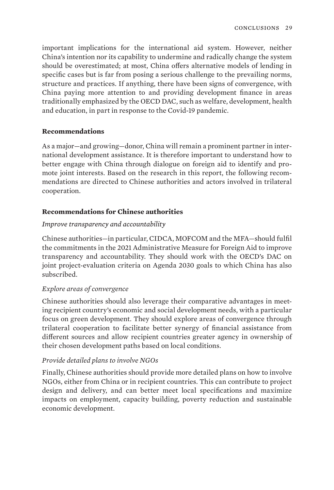<span id="page-40-0"></span>important implications for the international aid system. However, neither China's intention nor its capability to undermine and radically change the system should be overestimated; at most, China offers alternative models of lending in specific cases but is far from posing a serious challenge to the prevailing norms, structure and practices. If anything, there have been signs of convergence, with China paying more attention to and providing development finance in areas traditionally emphasized by the OECD DAC, such as welfare, development, health and education, in part in response to the Covid-19 pandemic.

### **Recommendations**

As a major—and growing—donor, China will remain a prominent partner in international development assistance. It is therefore important to understand how to better engage with China through dialogue on foreign aid to identify and promote joint interests. Based on the research in this report, the following recommendations are directed to Chinese authorities and actors involved in trilateral cooperation.

### **Recommendations for Chinese authorities**

### *Improve transparency and accountability*

Chinese authorities—in particular, CIDCA, MOFCOM and the MFA—should fulfil the commitments in the 2021 Administrative Measure for Foreign Aid to improve transparency and accountability. They should work with the OECD's DAC on joint project-evaluation criteria on Agenda 2030 goals to which China has also subscribed.

### *Explore areas of convergence*

Chinese authorities should also leverage their comparative advantages in meeting recipient country's economic and social development needs, with a particular focus on green development. They should explore areas of convergence through trilateral cooperation to facilitate better synergy of financial assistance from different sources and allow recipient countries greater agency in ownership of their chosen development paths based on local conditions.

### *Provide detailed plans to involve NGOs*

Finally, Chinese authorities should provide more detailed plans on how to involve NGOs, either from China or in recipient countries. This can contribute to project design and delivery, and can better meet local specifications and maximize impacts on employment, capacity building, poverty reduction and sustainable economic development.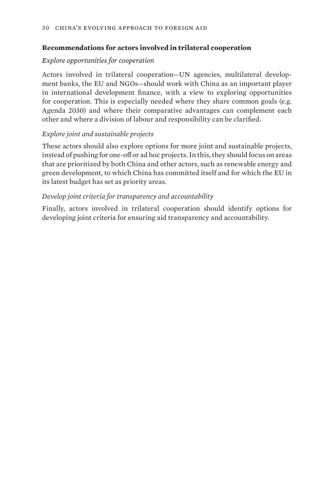### <span id="page-41-0"></span>**Recommendations for actors involved in trilateral cooperation**

### *Explore opportunities for cooperation*

Actors involved in trilateral cooperation—UN agencies, multilateral development banks, the EU and NGOs—should work with China as an important player in international development finance, with a view to exploring opportunities for cooperation. This is especially needed where they share common goals (e.g. Agenda 2030) and where their comparative advantages can complement each other and where a division of labour and responsibility can be clarified.

### *Explore joint and sustainable projects*

These actors should also explore options for more joint and sustainable projects, instead of pushing for one-off or ad hoc projects. In this, they should focus on areas that are prioritized by both China and other actors, such as renewable energy and green development, to which China has committed itself and for which the EU in its latest budget has set as priority areas.

### *Develop joint criteria for transparency and accountability*

Finally, actors involved in trilateral cooperation should identify options for developing joint criteria for ensuring aid transparency and accountability.